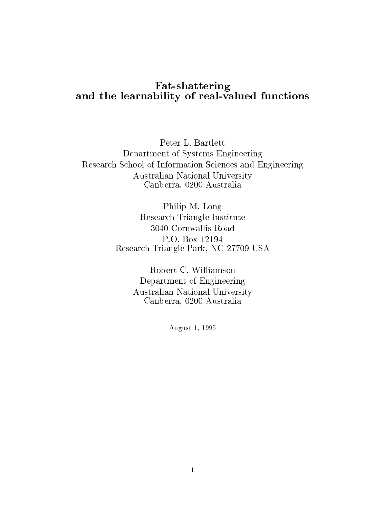# Fat-shattering and the learnability of real-valued functions

Peter L. Bartlett Department of Systems Engineering Research School of Information Sciences and Engineering Australian National University Canberra, 0200 Australia

> Philip M. Long Research Triangle Institute 3040 Cornwallis Road P.O. Box 12194 Research Triangle Park, NC 27709 USA

> > Robert C. Williamson Department of Engineering Australian National University Canberra, 0200 Australia

> > > August 1, 1995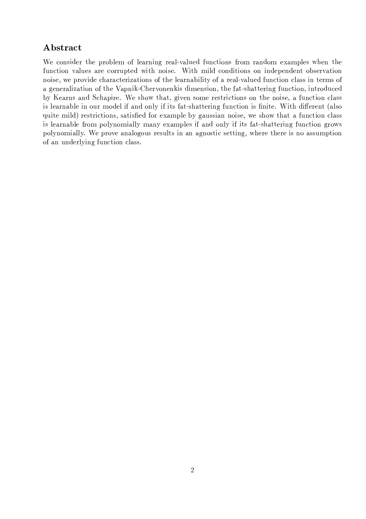# Abstract

We consider the problem of learning real-valued functions from random examples when the function values are corrupted with noise. With mild conditions on independent observation noise, we provide characterizations of the learnability of a real-valued function class in terms of a generalization of the Vapnik-Chervonenkis dimension, the fat-shattering function, introduced by Kearns and Schapire. We show that, given some restrictions on the noise, a function class is learnable in our model if and only if its fat-shattering function is finite. With different (also quite mild) restrictions, satisfied for example by gaussian noise, we show that a function class is learnable from polynomially many examples if and only if its fat-shattering function grows polynomially. We prove analogous results in an agnostic setting, where there is no assumption of an underlying function class.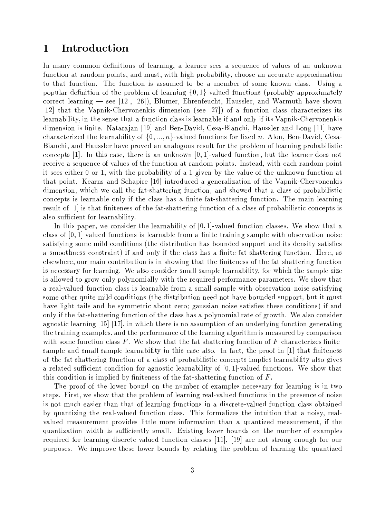### $\mathbf{1}$ Introduction

In many common definitions of learning, a learner sees a sequence of values of an unknown function at random points, and must, with high probability, choose an accurate approximation to that function. The function is assumed to be a member of some known class. Using a popular definition of the problem of learning  $\{0,1\}$ -valued functions (probably approximately correct learning — see [12], [26]), Blumer, Ehrenfeucht, Haussler, and Warmuth have shown [12] that the Vapnik-Chervonenkis dimension (see [27]) of a function class characterizes its learnability, in the sense that a function class is learnable if and only if its Vapnik-Chervonenkis dimension is finite. Natarajan [19] and Ben-David, Cesa-Bianchi, Haussler and Long [11] have characterized the learnability of  $\{0, ..., n\}$ -valued functions for fixed n. Alon, Ben-David, Cesa-Bianchi, and Haussler have proved an analogous result for the problem of learning probabilistic concepts  $[1]$ . In this case, there is an unknown  $[0,1]$ -valued function, but the learner does not receive a sequence of values of the function at random points. Instead, with each random point it sees either 0 or 1, with the probability of a 1 given by the value of the unknown function at that point. Kearns and Schapire [16] introduced a generalization of the Vapnik-Chervonenkis dimension, which we call the fat-shattering function, and showed that a class of probabilistic concepts is learnable only if the class has a finite fat-shattering function. The main learning result of [1] is that finiteness of the fat-shattering function of a class of probabilistic concepts is also sufficient for learnability.

In this paper, we consider the learnability of  $[0,1]$ -valued function classes. We show that a class of  $[0,1]$ -valued functions is learnable from a finite training sample with observation noise satisfying some mild conditions (the distribution has bounded support and its density satisfies a smoothness constraint) if and only if the class has a finite fat-shattering function. Here, as elsewhere, our main contribution is in showing that the finiteness of the fat-shattering function is necessary for learning. We also consider small-sample learnability, for which the sample size is allowed to grow only polynomially with the required performance parameters. We show that a real-valued function class is learnable from a small sample with observation noise satisfying some other quite mild conditions (the distribution need not have bounded support, but it must have light tails and be symmetric about zero; gaussian noise satisfies these conditions) if and only if the fat-shattering function of the class has a polynomial rate of growth. We also consider agnostic learning [15] [17], in which there is no assumption of an underlying function generating the training examples, and the performance of the learning algorithm is measured by comparison with some function class  $F$ . We show that the fat-shattering function of  $F$  characterizes finitesample and small-sample learnability in this case also. In fact, the proof in  $[1]$  that finiteness of the fat-shattering function of a class of probabilistic concepts implies learnability also gives a related sufficient condition for agnostic learnability of  $[0, 1]$ -valued functions. We show that this condition is implied by finiteness of the fat-shattering function of  $F$ .

The proof of the lower bound on the number of examples necessary for learning is in two steps. First, we show that the problem of learning real-valued functions in the presence of noise is not much easier than that of learning functions in a discrete-valued function class obtained by quantizing the real-valued function class. This formalizes the intuition that a noisy, realvalued measurement provides little more information than a quantized measurement, if the quantization width is sufficiently small. Existing lower bounds on the number of examples required for learning discrete-valued function classes [11], [19] are not strong enough for our purposes. We improve these lower bounds by relating the problem of learning the quantized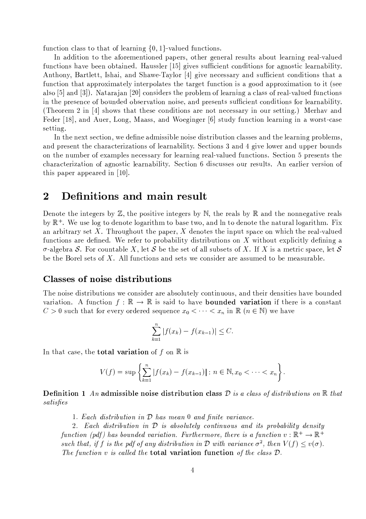function class to that of learning  $\{0,1\}$ -valued functions.

In addition to the aforementioned papers, other general results about learning real-valued functions have been obtained. Haussler [15] gives sufficient conditions for agnostic learnability. Anthony, Bartlett, Ishai, and Shawe-Taylor [4] give necessary and sufficient conditions that a function that approximately interpolates the target function is a good approximation to it (see also [5] and [3]). Natarajan [20] considers the problem of learning a class of real-valued functions in the presence of bounded observation noise, and presents sufficient conditions for learnability. (Theorem 2 in [4] shows that these conditions are not necessary in our setting.) Merhav and Feder [18], and Auer, Long, Maass, and Woeginger [6] study function learning in a worst-case setting.

In the next section, we define admissible noise distribution classes and the learning problems, and present the characterizations of learnability. Sections 3 and 4 give lower and upper bounds on the number of examples necessary for learning real-valued functions. Section 5 presents the characterization of agnostic learnability. Section 6 discusses our results. An earlier version of this paper appeared in  $[10]$ .

### Definitions and main result  $\overline{2}$

Denote the integers by  $\mathbb Z$ , the positive integers by  $\mathbb N$ , the reals by  $\mathbb R$  and the nonnegative reals by  $\mathbb{R}^+$ . We use log to denote logarithm to base two, and ln to denote the natural logarithm. Fix an arbitrary set X. Throughout the paper,  $X$  denotes the input space on which the real-valued functions are defined. We refer to probability distributions on X without explicitly defining a  $\sigma$ -algebra S. For countable X, let S be the set of all subsets of X. If X is a metric space, let S be the Borel sets of  $X$ . All functions and sets we consider are assumed to be measurable.

# **Classes of noise distributions**

The noise distributions we consider are absolutely continuous, and their densities have bounded variation. A function  $f : \mathbb{R} \to \mathbb{R}$  is said to have **bounded variation** if there is a constant  $C > 0$  such that for every ordered sequence  $x_0 < \cdots < x_n$  in  $\mathbb{R}$   $(n \in \mathbb{N})$  we have

$$
\sum_{k=1}^{n} |f(x_k) - f(x_{k-1})| \leq C.
$$

In that case, the **total variation** of f on  $\mathbb{R}$  is

$$
V(f) = \sup \left\{ \sum_{k=1}^{n} |f(x_k) - f(x_{k-1})| : n \in \mathbb{N}, x_0 < \cdots < x_n \right\}.
$$

**Definition 1** An admissible noise distribution class  $\mathcal{D}$  is a class of distributions on  $\mathbb{R}$  that satisfies

1. Each distribution in  $D$  has mean 0 and finite variance.

2. Each distribution in  $\mathcal D$  is absolutely continuous and its probability density function (pdf) has bounded variation. Furthermore, there is a function  $v : \mathbb{R}^+ \to \mathbb{R}^+$ such that, if f is the pdf of any distribution in  $\mathcal D$  with variance  $\sigma^2$ , then  $V(f) \le v(\sigma)$ . The function v is called the **total variation function** of the class  $\mathcal{D}$ .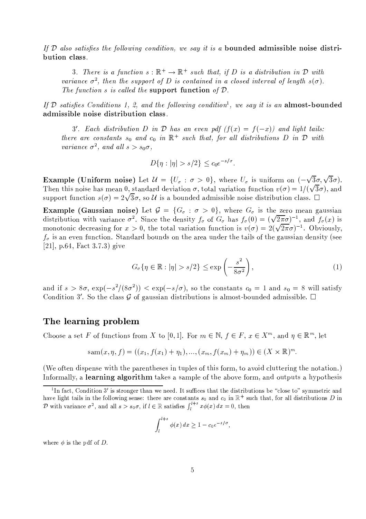If  $\mathcal D$  also satisfies the following condition, we say it is a bounded admissible noise distribution class.

3. There is a function  $s : \mathbb{R}^+ \to \mathbb{R}^+$  such that, if D is a distribution in D with variance  $\sigma^2$ , then the support of D is contained in a closed interval of length  $s(\sigma)$ . The function s is called the support function of  $\mathcal{D}$ .

If D satisfies Conditions 1, 2, and the following condition<sup>1</sup>, we say it is an almost-bounded admissible noise distribution class.

3'. Each distribution D in D has an even pdf  $(f(x) = f(-x))$  and light tails: there are constants  $s_0$  and  $c_0$  in  $\mathbb{R}^+$  such that, for all distributions D in D with variance  $\sigma^2$ , and all  $s > s_0\sigma$ ,

$$
D\{\eta: |\eta| > s/2\} \le c_0 e^{-s/\sigma}.
$$

**Example (Uniform noise)** Let  $\mathcal{U} = \{U_{\sigma} : \sigma > 0\}$ , where  $U_{\sigma}$  is uniform on  $(-\sqrt{3}\sigma, \sqrt{3}\sigma)$ . Then this noise has mean 0, standard deviation  $\sigma$ , total variation function  $v(\sigma) = 1/(\sqrt{3}\sigma)$ , and support function  $s(\sigma) = 2\sqrt{3}\sigma$ , so U is a bounded admissible noise distribution class.  $\Box$ 

**Example (Gaussian noise)** Let  $\mathcal{G} = \{G_{\sigma} : \sigma > 0\}$ , where  $G_{\sigma}$  is the zero mean gaussian distribution with variance  $\sigma^2$ . Since the density  $f_\sigma$  of  $G_\sigma$  has  $f_\sigma(0) = (\sqrt{2\pi}\sigma)^{-1}$ , and  $f_\sigma(x)$  is monotonic decreasing for  $x > 0$ , the total variation function is  $v(\sigma) = 2(\sqrt{2\pi}\sigma)^{-1}$ . Obviously,  $f_{\sigma}$  is an even function. Standard bounds on the area under the tails of the gaussian density (see [21], p.64, Fact 3.7.3) give

$$
G_{\sigma}\{\eta \in \mathbb{R} : |\eta| > s/2\} \le \exp\left(-\frac{s^2}{8\sigma^2}\right),\tag{1}
$$

and if  $s > 8\sigma$ ,  $\exp(-s^2/(8\sigma^2)) < \exp(-s/\sigma)$ , so the constants  $c_0 = 1$  and  $s_0 = 8$  will satisfy Condition 3'. So the class  $\mathcal G$  of gaussian distributions is almost-bounded admissible.  $\Box$ 

# The learning problem

Choose a set F of functions from X to [0,1]. For  $m \in \mathbb{N}$ ,  $f \in F$ ,  $x \in X^m$ , and  $\eta \in \mathbb{R}^m$ , let

$$
sam(x, \eta, f) = ((x_1, f(x_1) + \eta_1), ..., (x_m, f(x_m) + \eta_m)) \in (X \times \mathbb{R})^m
$$

(We often dispense with the parentheses in tuples of this form, to avoid cluttering the notation.) Informally, a learning algorithm takes a sample of the above form, and outputs a hypothesis

$$
\int_{l}^{l+s} \phi(x) dx \ge 1 - c_0 e^{-s/\sigma},
$$

where  $\phi$  is the pdf of D.

<sup>&</sup>lt;sup>1</sup>In fact, Condition 3' is stronger than we need. It suffices that the distributions be "close to" symmetric and have light tails in the following sense: there are constants  $s_0$  and  $c_0$  in  $\mathbb{R}^+$  such that, for all distributions D in D with variance  $\sigma^2$ , and all  $s > s_0\sigma$ , if  $l \in \mathbb{R}$  satisfies  $\int_{l}^{l+s} x \phi(x) dx = 0$ , then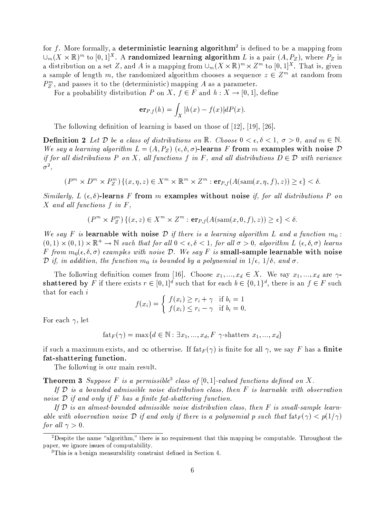for f. More formally, a deterministic learning algorithm<sup>2</sup> is defined to be a mapping from  $\bigcup_m (X \times \mathbb{R})^m$  to  $[0,1]^X$ . A randomized learning algorithm L is a pair  $(A, P_Z)$ , where  $P_Z$  is a distribution on a set Z, and A is a mapping from  $\bigcup_{m} (X \times \mathbb{R})^m \times Z^m$  to  $[0,1]^X$ . That is, given a sample of length m, the randomized algorithm chooses a sequence  $z \in \mathbb{Z}^m$  at random from  $P_{\rm z}^{m}$ , and passes it to the (deterministic) mapping A as a parameter.

For a probability distribution P on X,  $f \in F$  and  $h: X \to [0,1]$ , define

$$
\mathbf{er}_{P,f}(h) = \int_X |h(x) - f(x)| dP(x)
$$

The following definition of learning is based on those of  $[12]$ ,  $[19]$ ,  $[26]$ .

**Definition 2** Let D be a class of distributions on R. Choose  $0 < \epsilon, \delta < 1$ ,  $\sigma > 0$ , and  $m \in \mathbb{N}$ . We say a learning algorithm  $L = (A, P_Z)$  ( $\epsilon, \delta, \sigma$ )-learns F from m examples with noise D if for all distributions P on X, all functions f in F, and all distributions  $D \in \mathcal{D}$  with variance  $\sigma^2$ ,

$$
(P^m \times D^m \times P_Z^m) \{(x, \eta, z) \in X^m \times \mathbb{R}^m \times Z^m : \mathbf{er}_{P,f}(A(\text{sam}(x, \eta, f), z)) \ge \epsilon\} < \delta.
$$

Similarly, L  $(\epsilon, \delta)$ -learns F from m examples without noise if, for all distributions P on  $X$  and all functions  $f$  in  $F$ ,

$$
(P^m \times P_Z^m) \{ (x, z) \in X^m \times Z^m : \mathbf{er}_{P,f}(A(\operatorname{sam}(x, 0, f), z)) \ge \epsilon \} < \delta.
$$

We say F is learnable with noise D if there is a learning algorithm L and a function  $m_0$ :  $(0,1) \times (0,1) \times \mathbb{R}^+ \to \mathbb{N}$  such that for all  $0 < \epsilon, \delta < 1$ , for all  $\sigma > 0$ , algorithm  $L(\epsilon, \delta, \sigma)$  learns F from  $m_0(\epsilon, \delta, \sigma)$  examples with noise D. We say F is small-sample learnable with noise  $\mathcal D$  if, in addition, the function  $m_0$  is bounded by a polynomial in  $1/\epsilon$ ,  $1/\delta$ , and  $\sigma$ .

The following definition comes from [16]. Choose  $x_1, ..., x_d \in X$ . We say  $x_1, ..., x_d$  are  $\gamma$ shattered by F if there exists  $r \in [0,1]^d$  such that for each  $b \in \{0,1\}^d$ , there is an  $f \in F$  such that for each  $i$ 

$$
f(x_i) = \begin{cases} f(x_i) \ge r_i + \gamma & \text{if } b_i = 1 \\ f(x_i) \le r_i - \gamma & \text{if } b_i = 0. \end{cases}
$$

For each  $\gamma$ , let

$$
fat_F(\gamma) = \max\{d \in \mathbb{N} : \exists x_1, ..., x_d, F \gamma\text{-shatters } x_1, ..., x_d\}
$$

if such a maximum exists, and  $\infty$  otherwise. If  $f_{\text{at }F}(\gamma)$  is finite for all  $\gamma$ , we say F has a finite fat-shattering function.

The following is our main result.

**Theorem 3** Suppose F is a permissible<sup>3</sup> class of  $[0,1]$ -valued functions defined on X.

If  $D$  is a bounded admissible noise distribution class, then  $F$  is learnable with observation noise  $\mathcal D$  if and only if F has a finite fat-shattering function.

If  $\mathcal D$  is an almost-bounded admissible noise distribution class, then  $F$  is small-sample learnable with observation noise D if and only if there is a polynomial p such that  $\text{fat}_F(\gamma) < p(1/\gamma)$ for all  $\gamma > 0$ .

 $\overline{P}$   $\overline{P}$   $\overline{P}$  be name "algorithm," there is no requirement that this mapping be computable. Throughout the paper, we ignore issues of computability.

<sup>&</sup>lt;sup>3</sup>This is a benign measurability constraint defined in Section 4.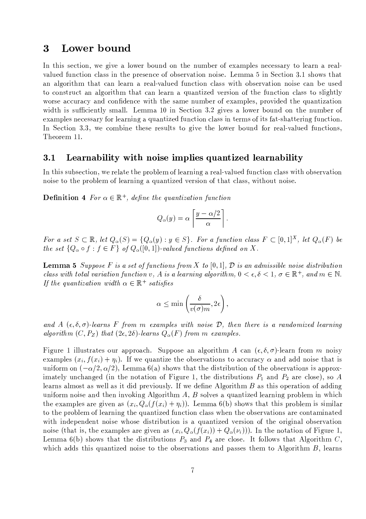### $\overline{\mathbf{3}}$ Lower bound

In this section, we give a lower bound on the number of examples necessary to learn a realvalued function class in the presence of observation noise. Lemma 5 in Section 3.1 shows that an algorithm that can learn a real-valued function class with observation noise can be used to construct an algorithm that can learn a quantized version of the function class to slightly worse accuracy and confidence with the same number of examples, provided the quantization width is sufficiently small. Lemma 10 in Section 3.2 gives a lower bound on the number of examples necessary for learning a quantized function class in terms of its fat-shattering function. In Section 3.3, we combine these results to give the lower bound for real-valued functions, Theorem 11.

#### Learnability with noise implies quantized learnability  $3.1$

In this subsection, we relate the problem of learning a real-valued function class with observation noise to the problem of learning a quantized version of that class, without noise.

**Definition 4** For  $\alpha \in \mathbb{R}^+$ , define the quantization function

$$
Q_{\alpha}(y) = \alpha \left[ \frac{y - \alpha/2}{\alpha} \right].
$$

For a set  $S \subset \mathbb{R}$ , let  $Q_{\alpha}(S) = \{Q_{\alpha}(y) : y \in S\}$ . For a function class  $F \subset [0,1]^X$ , let  $Q_{\alpha}(F)$  be the set  $\{Q_{\alpha} \circ f : f \in F\}$  of  $Q_{\alpha}([0,1])$ -valued functions defined on X.

**Lemma 5** Suppose F is a set of functions from X to [0,1],  $\mathcal{D}$  is an admissible noise distribution class with total variation function v, A is a learning algorithm,  $0 < \epsilon, \delta < 1$ ,  $\sigma \in \mathbb{R}^+$ , and  $m \in \mathbb{N}$ . If the quantization width  $\alpha \in \mathbb{R}^+$  satisfies

$$
\alpha \le \min\left(\frac{\delta}{v(\sigma)m}, 2\epsilon\right),\,
$$

and A  $(\epsilon, \delta, \sigma)$ -learns F from m examples with noise D, then there is a randomized learning algorithm  $(C, P_Z)$  that  $(2\epsilon, 2\delta)$ -learns  $Q_{\alpha}(F)$  from m examples.

Figure 1 illustrates our approach. Suppose an algorithm A can  $(\epsilon, \delta, \sigma)$ -learn from m noisy examples  $(x_i, f(x_i) + \eta_i)$ . If we quantize the observations to accuracy  $\alpha$  and add noise that is uniform on  $(-\alpha/2, \alpha/2)$ , Lemma 6(a) shows that the distribution of the observations is approximately unchanged (in the notation of Figure 1, the distributions  $P_1$  and  $P_2$  are close), so A learns almost as well as it did previously. If we define Algorithm  $B$  as this operation of adding uniform noise and then invoking Algorithm  $A, B$  solves a quantized learning problem in which the examples are given as  $(x_i, Q_{\alpha}(f(x_i) + \eta_i))$ . Lemma 6(b) shows that this problem is similar to the problem of learning the quantized function class when the observations are contaminated with independent noise whose distribution is a quantized version of the original observation noise (that is, the examples are given as  $(x_i, Q_\alpha(f(x_i)) + Q_\alpha(\nu_i))$ ). In the notation of Figure 1, Lemma 6(b) shows that the distributions  $P_3$  and  $P_4$  are close. It follows that Algorithm C, which adds this quantized noise to the observations and passes them to Algorithm  $B$ , learns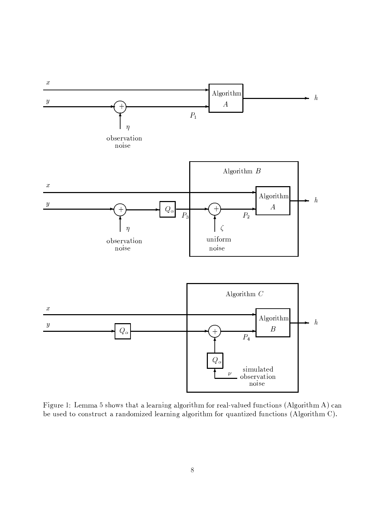

Figure 1: Lemma 5 shows that a learning algorithm for real-valued functions (Algorithm A) can be used to construct a randomized learning algorithm for quantized functions (Algorithm C).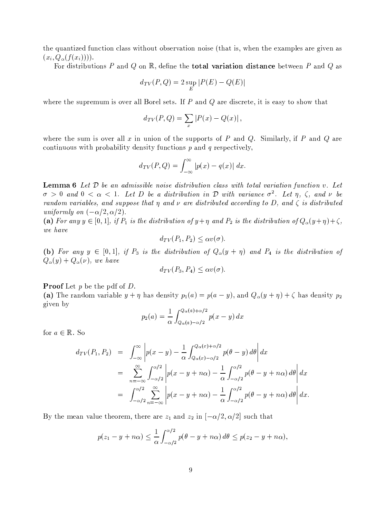the quantized function class without observation noise (that is, when the examples are given as  $(x_i, Q_\alpha(f(x_i)))$ .

For distributions P and Q on R, define the **total variation distance** between P and Q as

$$
d_{TV}(P,Q) = 2\sup_E|P(E) - Q(E)|
$$

where the supremum is over all Borel sets. If  $P$  and  $Q$  are discrete, it is easy to show that

$$
d_{TV}(P,Q) = \sum_x |P(x) - Q(x)|
$$

where the sum is over all x in union of the supports of P and Q. Similarly, if P and Q are continuous with probability density functions  $p$  and  $q$  respectively,

$$
d_{TV}(P,Q) = \int_{-\infty}^{\infty} |p(x) - q(x)| dx.
$$

**Lemma 6** Let  $D$  be an admissible noise distribution class with total variation function v. Let  $\sigma > 0$  and  $0 < \alpha < 1$ . Let D be a distribution in D with variance  $\sigma^2$ . Let  $\eta$ ,  $\zeta$ , and  $\nu$  be random variables, and suppose that  $\eta$  and  $\nu$  are distributed according to D, and  $\zeta$  is distributed uniformly on  $(-\alpha/2, \alpha/2)$ .

(a) For any  $y \in [0,1]$ , if  $P_1$  is the distribution of  $y + \eta$  and  $P_2$  is the distribution of  $Q_{\alpha}(y + \eta) + \zeta$ , we have

$$
d_{TV}(P_1, P_2) \le \alpha v(\sigma)
$$

(b) For any  $y \in [0,1]$ , if  $P_3$  is the distribution of  $Q_{\alpha}(y + \eta)$  and  $P_4$  is the distribution of  $Q_{\alpha}(y) + Q_{\alpha}(\nu)$ , we have

$$
d_{TV}(P_3, P_4) \le \alpha v(\sigma).
$$

**Proof** Let  $p$  be the pdf of  $D$ .

(a) The random variable  $y + \eta$  has density  $p_1(a) = p(a - y)$ , and  $Q_{\alpha}(y + \eta) + \zeta$  has density  $p_2$ given by

$$
p_2(a) = \frac{1}{\alpha} \int_{Q_{\alpha}(a) - \alpha/2}^{Q_{\alpha}(a) + \alpha/2} p(x - y) dx
$$

for  $a \in \mathbb{R}$ . So

$$
d_{TV}(P_1, P_2) = \int_{-\infty}^{\infty} \left| p(x - y) - \frac{1}{\alpha} \int_{Q_{\alpha}(x) - \alpha/2}^{Q_{\alpha}(x) + \alpha/2} p(\theta - y) d\theta \right| dx
$$
  
\n
$$
= \sum_{n = -\infty}^{\infty} \int_{-\alpha/2}^{\alpha/2} \left| p(x - y + n\alpha) - \frac{1}{\alpha} \int_{-\alpha/2}^{\alpha/2} p(\theta - y + n\alpha) d\theta \right| dx
$$
  
\n
$$
= \int_{-\alpha/2}^{\alpha/2} \sum_{n = -\infty}^{\infty} \left| p(x - y + n\alpha) - \frac{1}{\alpha} \int_{-\alpha/2}^{\alpha/2} p(\theta - y + n\alpha) d\theta \right| dx
$$

By the mean value theorem, there are  $z_1$  and  $z_2$  in  $[-\alpha/2, \alpha/2]$  such that

$$
p(z_1 - y + n\alpha) \leq \frac{1}{\alpha} \int_{-\alpha/2}^{\alpha/2} p(\theta - y + n\alpha) d\theta \leq p(z_2 - y + n\alpha),
$$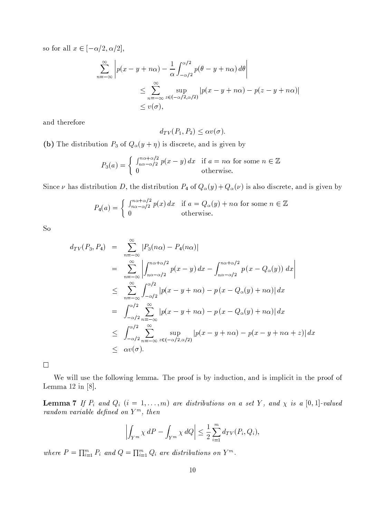so for all  $x \in [-\alpha/2, \alpha/2],$ 

$$
\sum_{n=-\infty}^{\infty} \left| p(x - y + n\alpha) - \frac{1}{\alpha} \int_{-\alpha/2}^{\alpha/2} p(\theta - y + n\alpha) d\theta \right|
$$
  

$$
\leq \sum_{n=-\infty}^{\infty} \sup_{z \in (-\alpha/2, \alpha/2)} |p(x - y + n\alpha) - p(z - y + n\alpha)|
$$
  

$$
\leq v(\sigma),
$$

and therefore

$$
d_{TV}(P_1, P_2) \le \alpha v(\sigma)
$$

(b) The distribution  $P_3$  of  $Q_{\alpha}(y+\eta)$  is discrete, and is given by

$$
P_3(a) = \begin{cases} \int_{n\alpha - \alpha/2}^{n\alpha + \alpha/2} p(x - y) dx & \text{if } a = n\alpha \text{ for some } n \in \mathbb{Z} \\ 0 & \text{otherwise.} \end{cases}
$$

Since  $\nu$  has distribution D, the distribution  $P_4$  of  $Q_{\alpha}(y) + Q_{\alpha}(\nu)$  is also discrete, and is given by

$$
P_4(a) = \begin{cases} \int_{n\alpha - \alpha/2}^{n\alpha + \alpha/2} p(x) dx & \text{if } a = Q_\alpha(y) + n\alpha \text{ for some } n \in \mathbb{Z} \\ 0 & \text{otherwise.} \end{cases}
$$

S<sub>o</sub>

$$
d_{TV}(P_3, P_4) = \sum_{n=-\infty}^{\infty} |P_3(n\alpha) - P_4(n\alpha)|
$$
  
\n
$$
= \sum_{n=-\infty}^{\infty} \left| \int_{n\alpha - \alpha/2}^{n\alpha + \alpha/2} p(x - y) dx - \int_{n\alpha - \alpha/2}^{n\alpha + \alpha/2} p(x - Q_{\alpha}(y)) dx \right|
$$
  
\n
$$
\leq \sum_{n=-\infty}^{\infty} \int_{-\alpha/2}^{\alpha/2} |p(x - y + n\alpha) - p(x - Q_{\alpha}(y) + n\alpha)| dx
$$
  
\n
$$
= \int_{-\alpha/2}^{\alpha/2} \sum_{n=-\infty}^{\infty} |p(x - y + n\alpha) - p(x - Q_{\alpha}(y) + n\alpha)| dx
$$
  
\n
$$
\leq \int_{-\alpha/2}^{\alpha/2} \sum_{n=-\infty}^{\infty} \sup_{z \in (-\alpha/2, \alpha/2)} |p(x - y + n\alpha) - p(x - y + n\alpha + z)| dx
$$
  
\n
$$
\leq \alpha v(\sigma).
$$

 $\Box$ 

We will use the following lemma. The proof is by induction, and is implicit in the proof of Lemma 12 in  $[8]$ .

**Lemma 7** If  $P_i$  and  $Q_i$   $(i = 1, ..., m)$  are distributions on a set Y, and  $\chi$  is a [0,1]-valued random variable defined on  $Y^m$ , then

$$
\left| \int_{Y^m} \chi \, dP - \int_{Y^m} \chi \, dQ \right| \le \frac{1}{2} \sum_{i=1}^m d_{TV}(P_i, Q_i),
$$

where  $P = \prod_{i=1}^{m} P_i$  and  $Q = \prod_{i=1}^{m} Q_i$  are distributions on  $Y^m$ .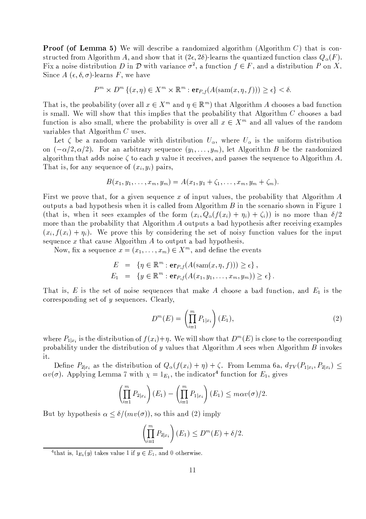**Proof (of Lemma 5)** We will describe a randomized algorithm (Algorithm  $C$ ) that is constructed from Algorithm A, and show that it  $(2\epsilon, 2\delta)$ -learns the quantized function class  $Q_{\alpha}(F)$ . Fix a noise distribution D in D with variance  $\sigma^2$ , a function  $f \in F$ , and a distribution P on X. Since  $A(\epsilon, \delta, \sigma)$ -learns F, we have

$$
P^m \times D^m \{(x, \eta) \in X^m \times \mathbb{R}^m : \mathbf{er}_{P,f}(A(\text{sam}(x, \eta, f))) \ge \epsilon\} < \delta.
$$

That is, the probability (over all  $x \in X^m$  and  $\eta \in \mathbb{R}^m$ ) that Algorithm A chooses a bad function is small. We will show that this implies that the probability that Algorithm  $C$  chooses a bad function is also small, where the probability is over all  $x \in X^m$  and all values of the random variables that Algorithm  $C$  uses.

Let  $\zeta$  be a random variable with distribution  $U_{\alpha}$ , where  $U_{\alpha}$  is the uniform distribution on  $(-\alpha/2, \alpha/2)$ . For an arbitrary sequence  $(y_1, \ldots, y_m)$ , let Algorithm B be the randomized algorithm that adds noise  $\zeta$  to each y value it receives, and passes the sequence to Algorithm A. That is, for any sequence of  $(x_i, y_i)$  pairs,

$$
B(x_1, y_1, \ldots, x_m, y_m) = A(x_1, y_1 + \zeta_1, \ldots, x_m, y_m + \zeta_m).
$$

First we prove that, for a given sequence x of input values, the probability that Algorithm A outputs a bad hypothesis when it is called from Algorithm  $B$  in the scenario shown in Figure 1 (that is, when it sees examples of the form  $(x_i, Q_{\alpha}(f(x_i) + \eta_i) + \zeta_i)$ ) is no more than  $\delta/2$ more than the probability that Algorithm A outputs a bad hypothesis after receiving examples  $(x_i, f(x_i) + \eta_i)$ . We prove this by considering the set of noisy function values for the input sequence  $x$  that cause Algorithm  $A$  to output a bad hypothesis.

Now, fix a sequence  $x = (x_1, \ldots, x_m) \in X^m$ , and define the events

$$
E = \{ \eta \in \mathbb{R}^m : \mathbf{er}_{P,f}(A(\operatorname{sam}(x, \eta, f))) \ge \epsilon \},
$$
  
\n
$$
E_1 = \{ y \in \mathbb{R}^m : \mathbf{er}_{P,f}(A(x_1, y_1, \dots, x_m, y_m)) \ge \epsilon \}.
$$

That is, E is the set of noise sequences that make A choose a bad function, and  $E_1$  is the corresponding set of  $y$  sequences. Clearly,

$$
D^{m}(E) = \left(\prod_{i=1}^{m} P_{1|x_{i}}\right)(E_{1}),
$$
\n(2)

where  $P_{1|x_i}$  is the distribution of  $f(x_i)+\eta$ . We will show that  $D^m(E)$  is close to the corresponding probability under the distribution of y values that Algorithm  $A$  sees when Algorithm  $B$  invokes it.

Define  $P_{2|x_i}$  as the distribution of  $Q_{\alpha}(f(x_i)+\eta)+\zeta$ . From Lemma 6a,  $d_{TV}(P_{1|x_i},P_{2|x_i}) \leq$  $\alpha v(\sigma)$ . Applying Lemma 7 with  $\chi = 1_{E_1}$ , the indicator<sup>4</sup> function for  $E_1$ , gives

$$
\left(\prod_{i=1}^m P_{2|x_i}\right)(E_1) - \left(\prod_{i=1}^m P_{1|x_i}\right)(E_1) \leq m\alpha v(\sigma)/2.
$$

But by hypothesis  $\alpha \leq \delta/(mv(\sigma))$ , so this and (2) imply

$$
\left(\prod_{i=1}^m P_{2|x_i}\right)(E_1) \le D^m(E) + \delta/2.
$$

<sup>4</sup>that is,  $1_{E_1}(y)$  takes value 1 if  $y \in E_1$ , and 0 otherwise.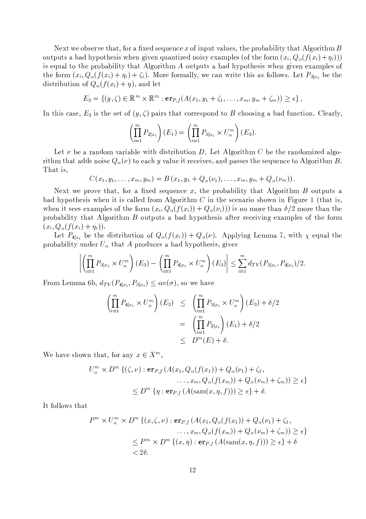Next we observe that, for a fixed sequence x of input values, the probability that Algorithm  $B$ outputs a bad hypothesis when given quantized noisy examples (of the form  $(x_i, Q_{\alpha}(f(x_i)+\eta_i)))$ is equal to the probability that Algorithm A outputs a bad hypothesis when given examples of the form  $(x_i, Q_{\alpha}(f(x_i) + \eta_i) + \zeta_i)$ . More formally, we can write this as follows. Let  $P_{3|x_i}$  be the distribution of  $Q_{\alpha}(f(x_i)+\eta)$ , and let

$$
E_3 = \{(y,\zeta) \in \mathbb{R}^m \times \mathbb{R}^m : \mathbf{er}_{P,f}(A(x_1,y_1+\zeta_1,\ldots,x_m,y_m+\zeta_m)) \geq \epsilon\},\
$$

In this case,  $E_3$  is the set of  $(y,\zeta)$  pairs that correspond to B choosing a bad function. Clearly,

$$
\left(\prod_{i=1}^m P_{2|x_i}\right)(E_1) = \left(\prod_{i=1}^m P_{3|x_i} \times U_\alpha^m\right)(E_3).
$$

Let  $\nu$  be a random variable with distribution D. Let Algorithm C be the randomized algorithm that adds noise  $Q_{\alpha}(\nu)$  to each y value it receives, and passes the sequence to Algorithm B. That is,

$$
C(x_1, y_1, \ldots, x_m, y_m) = B(x_1, y_1 + Q_{\alpha}(\nu_1), \ldots, x_m, y_m + Q_{\alpha}(\nu_m))
$$

Next we prove that, for a fixed sequence x, the probability that Algorithm  $B$  outputs a bad hypothesis when it is called from Algorithm  $C$  in the scenario shown in Figure 1 (that is, when it sees examples of the form  $(x_i, Q_\alpha(f(x_i)) + Q_\alpha(\nu_i))$  is no more than  $\delta/2$  more than the probability that Algorithm B outputs a bad hypothesis after receiving examples of the form  $(x_i, Q_\alpha(f(x_i) + \eta_i)).$ 

Let  $P_{4|x_i}$  be the distribution of  $Q_{\alpha}(f(x_i)) + Q_{\alpha}(\nu)$ . Applying Lemma 7, with  $\chi$  equal the probability under  $U_{\alpha}$  that A produces a bad hypothesis, gives

$$
\left| \left( \prod_{i=1}^{m} P_{3|x_i} \times U_{\alpha}^{m} \right) (E_3) - \left( \prod_{i=1}^{m} P_{4|x_i} \times U_{\alpha}^{m} \right) (E_3) \right| \leq \sum_{i=1}^{m} d_{TV} (P_{3|x_i}, P_{4|x_i}) / 2
$$

From Lemma 6b,  $d_{TV}(P_{4|x_i}, P_{3|x_i}) \leq \alpha v(\sigma)$ , so we have

$$
\left(\prod_{i=1}^{m} P_{4|x_i} \times U_{\alpha}^{m}\right)(E_3) \leq \left(\prod_{i=1}^{m} P_{3|x_i} \times U_{\alpha}^{m}\right)(E_3) + \delta/2
$$

$$
= \left(\prod_{i=1}^{m} P_{2|x_i}\right)(E_1) + \delta/2
$$

$$
\leq D^{m}(E) + \delta.
$$

We have shown that, for any  $x \in X^m$ ,

$$
U_{\alpha}^{m} \times D^{m} \left\{ (\zeta, \nu) : \mathbf{er}_{P,f} \left( A(x_{1}, Q_{\alpha}(f(x_{1})) + Q_{\alpha}(\nu_{1}) + \zeta_{1}, \dots, x_{m}, Q_{\alpha}(f(x_{m})) + Q_{\alpha}(\nu_{m}) + \zeta_{m} \right) \right\} \geq \epsilon \}
$$
  

$$
\leq D^{m} \left\{ \eta : \mathbf{er}_{P,f} \left( A(\operatorname{sam}(x, \eta, f)) \right) \geq \epsilon \right\} + \delta.
$$

It follows that

$$
P^{m} \times U_{\alpha}^{m} \times D^{m} \{ (x, \zeta, \nu) : \mathbf{er}_{P,f} \left( A(x_{1}, Q_{\alpha}(f(x_{1})) + Q_{\alpha}(\nu_{1}) + \zeta_{1}, \dots, x_{m}, Q_{\alpha}(f(x_{m})) + Q_{\alpha}(\nu_{m}) + \zeta_{m}) \right) \ge \epsilon \}
$$
  

$$
\le P^{m} \times D^{m} \{ (x, \eta) : \mathbf{er}_{P,f} \left( A(\operatorname{sam}(x, \eta, f)) \right) \ge \epsilon \} + \delta
$$
  
<2\delta.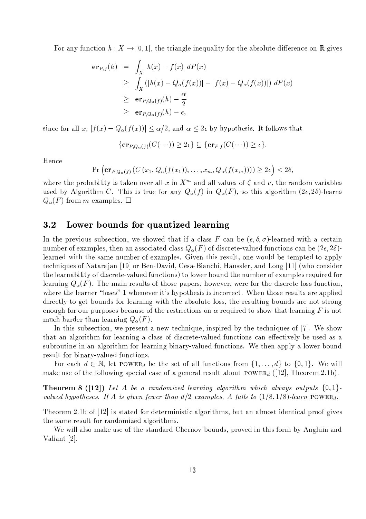For any function  $h: X \to [0,1]$ , the triangle inequality for the absolute difference on R gives

$$
\begin{array}{rcl}\n\mathbf{er}_{P,f}(h) & = & \int_X |h(x) - f(x)| \, dP(x) \\
& \geq & \int_X \left( |h(x) - Q_\alpha(f(x))| - |f(x) - Q_\alpha(f(x))| \right) \, dP(x) \\
& \geq & \mathbf{er}_{P,Q_\alpha(f)}(h) - \frac{\alpha}{2} \\
& \geq & \mathbf{er}_{P,Q_\alpha(f)}(h) - \epsilon,\n\end{array}
$$

since for all x,  $|f(x) - Q_{\alpha}(f(x))| \leq \alpha/2$ , and  $\alpha \leq 2\epsilon$  by hypothesis. It follows that

 $\{\mathbf{er}_{P,Q_{\alpha}(f)}(C(\cdots)) \geq 2\epsilon\} \subseteq \{\mathbf{er}_{P,f}(C(\cdots)) \geq \epsilon\}.$ 

Hence

 $\Pr\left(\exp_{Q_{\alpha}(f)}(C(x_1,Q_{\alpha}(f(x_1)),\ldots,x_m,Q_{\alpha}(f(x_m))))\geq 2\epsilon\right)<2\delta,$ 

where the probability is taken over all x in  $X^m$  and all values of  $\zeta$  and  $\nu$ , the random variables used by Algorithm C. This is true for any  $Q_{\alpha}(f)$  in  $Q_{\alpha}(F)$ , so this algorithm  $(2\epsilon, 2\delta)$ -learns  $Q_{\alpha}(F)$  from m examples.  $\square$ 

#### $3.2$ Lower bounds for quantized learning

In the previous subsection, we showed that if a class F can be  $(\epsilon, \delta, \sigma)$ -learned with a certain number of examples, then an associated class  $Q_{\alpha}(F)$  of discrete-valued functions can be  $(2\epsilon, 2\delta)$ learned with the same number of examples. Given this result, one would be tempted to apply techniques of Natarajan [19] or Ben-David, Cesa-Bianchi, Haussler, and Long [11] (who consider the learnability of discrete-valued functions) to lower bound the number of examples required for learning  $Q_{\alpha}(F)$ . The main results of those papers, however, were for the discrete loss function, where the learner "loses" 1 whenever it's hypothesis is incorrect. When those results are applied directly to get bounds for learning with the absolute loss, the resulting bounds are not strong enough for our purposes because of the restrictions on  $\alpha$  required to show that learning F is not much harder than learning  $Q_{\alpha}(F)$ .

In this subsection, we present a new technique, inspired by the techniques of [7]. We show that an algorithm for learning a class of discrete-valued functions can effectively be used as a subroutine in an algorithm for learning binary-valued functions. We then apply a lower bound result for binary-valued functions.

For each  $d \in \mathbb{N}$ , let POWER<sub>d</sub> be the set of all functions from  $\{1, \ldots, d\}$  to  $\{0, 1\}$ . We will make use of the following special case of a general result about  $Power_{d}$  ([12], Theorem 2.1b).

**Theorem 8** ([12]) Let A be a randomized learning algorithm which always outputs  $\{0,1\}$ valued hypotheses. If A is given fewer than  $d/2$  examples, A fails to  $(1/8, 1/8)$ -learn POWER<sub>d</sub>.

Theorem 2.1b of [12] is stated for deterministic algorithms, but an almost identical proof gives the same result for randomized algorithms.

We will also make use of the standard Chernov bounds, proved in this form by Angluin and Valiant [2].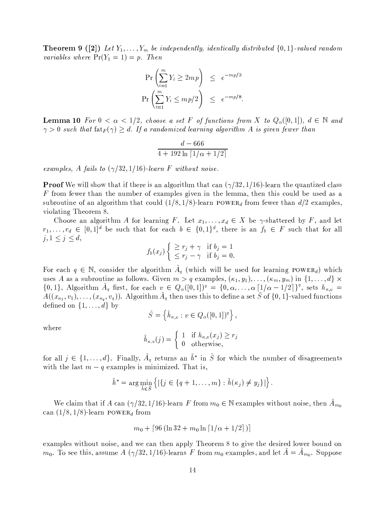**Theorem 9** ([2]) Let  $Y_1, \ldots, Y_m$  be independently, identically distributed  $\{0,1\}$ -valued random variables where  $Pr(Y_1 = 1) = p$ . Then

$$
\Pr\left(\sum_{i=1}^{m} Y_i \ge 2mp\right) \le e^{-mp/3}
$$
  

$$
\Pr\left(\sum_{i=1}^{m} Y_i \le mp/2\right) \le e^{-mp/8}.
$$

**Lemma 10** For  $0 < \alpha < 1/2$ , choose a set F of functions from X to  $Q_{\alpha}([0,1])$ ,  $d \in \mathbb{N}$  and  $\gamma > 0$  such that  $\text{fat}_F(\gamma) \geq d$ . If a randomized learning algorithm A is given fewer than

$$
\frac{d - 666}{4 + 192 \ln \left[1/\alpha + 1/2\right]}
$$

examples, A fails to  $(\gamma/32, 1/16)$ -learn F without noise.

**Proof** We will show that if there is an algorithm that can  $(\gamma/32, 1/16)$ -learn the quantized class F from fewer than the number of examples given in the lemma, then this could be used as a subroutine of an algorithm that could  $(1/8, 1/8)$ -learn POWER<sub>d</sub> from fewer than  $d/2$  examples, violating Theorem 8.

Choose an algorithm A for learning F. Let  $x_1, \ldots, x_d \in X$  be  $\gamma$ -shattered by F, and let  $r_1,\ldots,r_d \in [0,1]^d$  be such that for each  $b \in \{0,1\}^d$ , there is an  $f_b \in F$  such that for all  $j, 1 \leq j \leq d,$ 

$$
f_b(x_j) \begin{cases} \geq r_j + \gamma & \text{if } b_j = 1\\ \leq r_j - \gamma & \text{if } b_j = 0. \end{cases}
$$

For each  $q \in \mathbb{N}$ , consider the algorithm  $A_q$  (which will be used for learning POWER<sub>d</sub>) which uses A as a subroutine as follows. Given  $m > q$  examples,  $(\kappa_1, y_1), \ldots, (\kappa_m, y_m)$  in  $\{1, \ldots, d\} \times$  $\{0,1\},$  Algorithm  $\tilde{A}_q$  first, for each  $v \in Q_\alpha([0,1])^q = \{0,\alpha,\ldots,\alpha\left[1/\alpha-1/2\right]\}^q$ , sets  $h_{\kappa,v}$  $A((x_{\kappa_1},v_1),\ldots,(x_{\kappa_n},v_q)).$  Algorithm  $\tilde{A}_q$  then uses this to define a set  $\tilde{S}$  of  $\{0,1\}$ -valued functions defined on  $\{1,\ldots,d\}$  by

$$
\tilde{S} = \left\{ \tilde{h}_{\kappa,v} : v \in Q_{\alpha}([0,1])^q \right\},\,
$$

where

$$
\tilde{h}_{\kappa,v}(j) = \begin{cases} 1 & \text{if } h_{\kappa,v}(x_j) \ge r_j \\ 0 & \text{otherwise,} \end{cases}
$$

for all  $j \in \{1, ..., d\}$ . Finally,  $\tilde{A}_q$  returns an  $\tilde{h}^*$  in  $\tilde{S}$  for which the number of disagreements with the last  $m - q$  examples is minimized. That is,

$$
\tilde{h}^* = \arg\min_{\tilde{h}\in\tilde{S}} \left\{ |\{j \in \{q+1,\ldots,m\} : \tilde{h}(\kappa_j) \neq y_j\}| \right\}.
$$

We claim that if A can  $(\gamma/32, 1/16)$ -learn F from  $m_0 \in \mathbb{N}$  examples without noise, then  $A_{m_0}$ can  $(1/8, 1/8)$ -learn POWER<sub>d</sub> from

$$
m_0 + [96 (\ln 32 + m_0 \ln [1/\alpha + 1/2])]
$$

examples without noise, and we can then apply Theorem 8 to give the desired lower bound on  $m_0$ . To see this, assume A  $(\gamma/32, 1/16)$ -learns F from  $m_0$  examples, and let  $\tilde{A} = \tilde{A}_{m_0}$ . Suppose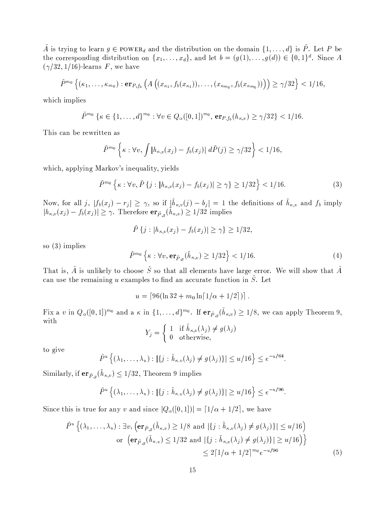$\tilde{A}$  is trying to learn  $g \in \text{Power}_{d}$  and the distribution on the domain  $\{1, \ldots, d\}$  is  $\tilde{P}$ . Let P be the corresponding distribution on  $\{x_1, \ldots, x_d\}$ , and let  $b = (g(1), \ldots, g(d)) \in \{0,1\}^d$ . Since A  $(\gamma/32, 1/16)$ -learns F, we have

$$
\tilde{P}^{m_0}\left\{(\kappa_1,\ldots,\kappa_{m_0}): \mathbf{er}_{P,f_b}\left(A\left((x_{\kappa_1},f_b(x_{\kappa_1})),\ldots,(x_{\kappa_{m_0}},f_b(x_{\kappa_{m_0}}))\right)\right) \ge \gamma/32\right\} < 1/16,
$$

which implies

 $\tilde{P}^{m_0} \{ \kappa \in \{1, ..., d\}^{m_0} : \forall v \in Q_\alpha([0,1])^{m_0}, \, \text{er}_{P, f_b}(h_{\kappa,v}) \geq \gamma/32 \} < 1/16.$ 

This can be rewritten as

$$
\tilde{P}^{m_0}\left\{\kappa:\forall v,\int\left|h_{\kappa,v}(x_j)-f_b(x_j)\right|\,d\tilde{P}(j)\geq\gamma/32\right\}<1/16
$$

which, applying Markov's inequality, yields

$$
\tilde{P}^{m_0}\left\{\kappa: \forall v, \tilde{P}\left\{j: |h_{\kappa,v}(x_j) - f_b(x_j)| \ge \gamma\right\} \ge 1/32\right\} < 1/16. \tag{3}
$$

Now, for all j,  $|f_b(x_j) - r_j| \geq \gamma$ , so if  $|\tilde{h}_{\kappa,v}(j) - b_j| = 1$  the definitions of  $\tilde{h}_{\kappa,v}$  and  $f_b$  imply  $|h_{\kappa,v}(x_j) - f_b(x_j)| \geq \gamma$ . Therefore  $\mathbf{er}_{\tilde{P},g}(\tilde{h}_{\kappa,v}) \geq 1/32$  implies

$$
\tilde{P}\{j : |h_{\kappa,v}(x_j) - f_b(x_j)| \geq \gamma\} \geq 1/32,
$$

so  $(3)$  implies

$$
\tilde{P}^{m_0}\left\{\kappa: \forall v, \operatorname{er}_{\tilde{P},g}(\tilde{h}_{\kappa,v}) \ge 1/32\right\} < 1/16. \tag{4}
$$

That is,  $\tilde{A}$  is unlikely to choose  $\tilde{S}$  so that all elements have large error. We will show that  $\tilde{A}$ can use the remaining u examples to find an accurate function in  $\tilde{S}$ . Let

$$
u = [96(\ln 32 + m_0 \ln[1/\alpha + 1/2])].
$$

Fix a v in  $Q_{\alpha}([0,1])^{m_0}$  and a  $\kappa$  in  $\{1,\ldots,d\}^{m_0}$ . If  $er_{\tilde{P},q}(\tilde{h}_{\kappa,v}) \geq 1/8$ , we can apply Theorem 9, with

$$
Y_j = \begin{cases} 1 & \text{if } \tilde{h}_{\kappa,v}(\lambda_j) \neq g(\lambda_j) \\ 0 & \text{otherwise,} \end{cases}
$$

to give

$$
\tilde{P}^u\left\{(\lambda_1,\ldots,\lambda_u):|\{j:\tilde{h}_{\kappa,v}(\lambda_j)\neq g(\lambda_j)\}|\leq u/16\right\}\leq e^{-u/64}.
$$

Similarly, if  $er_{\tilde{P},g}(h_{\kappa,v}) \leq 1/32$ , Theorem 9 implies

$$
\tilde{P}^u\left\{(\lambda_1,\ldots,\lambda_u):|\{j:\tilde{h}_{\kappa,v}(\lambda_j)\neq g(\lambda_j)\}|\geq u/16\right\}\leq e^{-u/96}
$$

Since this is true for any v and since  $|Q_{\alpha}([0,1])| = [1/\alpha + 1/2]$ , we have

$$
\tilde{P}^u \left\{ (\lambda_1, \dots, \lambda_u) : \exists v, \left( \mathbf{er}_{\tilde{P},g}(\tilde{h}_{\kappa,v}) \ge 1/8 \text{ and } |\{j : \tilde{h}_{\kappa,v}(\lambda_j) \ne g(\lambda_j)\}| \le u/16 \right) \right\}
$$
\n
$$
\text{or } \left( \mathbf{er}_{\tilde{P},g}(\tilde{h}_{\kappa,v}) \le 1/32 \text{ and } |\{j : \tilde{h}_{\kappa,v}(\lambda_j) \ne g(\lambda_j)\}| \ge u/16 \right) \right\}
$$
\n
$$
\le 2\lceil 1/\alpha + 1/2 \rceil^{m_0} e^{-u/96} \tag{5}
$$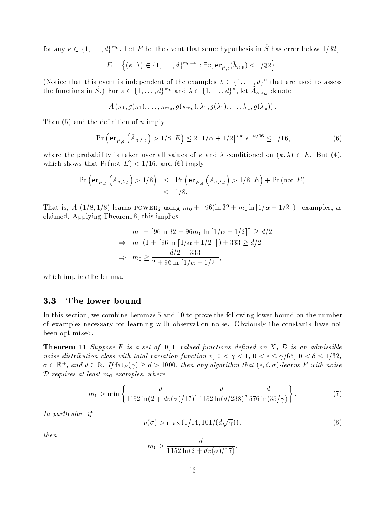for any  $\kappa \in \{1, ..., d\}^{m_0}$ . Let E be the event that some hypothesis in  $\tilde{S}$  has error below 1/32,

$$
E = \left\{ (\kappa, \lambda) \in \{1, \ldots, d\}^{m_0 + u} : \exists v, \mathbf{er}_{\tilde{P},g}(\tilde{h}_{\kappa,v}) < 1/32 \right\}.
$$

(Notice that this event is independent of the examples  $\lambda \in \{1, \ldots, d\}^u$  that are used to assess the functions in  $\tilde{S}$ .) For  $\kappa \in \{1, \ldots, d\}^{m_0}$  and  $\lambda \in \{1, \ldots, d\}^u$ , let  $\tilde{A}_{\kappa, \lambda, g}$  denote

$$
A(\kappa_1,g(\kappa_1),\ldots,\kappa_{m_0},g(\kappa_{m_0}),\lambda_1,g(\lambda_1),\ldots,\lambda_u,g(\lambda_u))\,.
$$

Then  $(5)$  and the definition of u imply

$$
\Pr\left(\mathbf{er}_{\tilde{P},g}\left(\tilde{A}_{\kappa,\lambda,g}\right) > 1/8|E\right) \le 2\left[1/\alpha + 1/2\right]^{m_0} e^{-u/96} \le 1/16,\tag{6}
$$

where the probability is taken over all values of  $\kappa$  and  $\lambda$  conditioned on  $(\kappa, \lambda) \in E$ . But (4), which shows that  $Pr(\text{not } E) < 1/16$ , and (6) imply

$$
\Pr\left(\mathbf{er}_{\tilde{P},g}\left(\tilde{A}_{\kappa,\lambda,g}\right) > 1/8\right) \leq \Pr\left(\mathbf{er}_{\tilde{P},g}\left(\tilde{A}_{\kappa,\lambda,g}\right) > 1/8\middle| E\right) + \Pr\left(\text{not } E\right) \\
&< 1/8.
$$

That is,  $\tilde{A}$  (1/8,1/8)-learns POWER<sub>d</sub> using  $m_0 + [96(\ln 32 + m_0 \ln[1/\alpha + 1/2])]$  examples, as claimed. Applying Theorem 8, this implies

$$
m_0 + [96 \ln 32 + 96m_0 \ln [1/\alpha + 1/2]] \ge d/2
$$
  
\n
$$
\Rightarrow m_0 (1 + [96 \ln [1/\alpha + 1/2]]) + 333 \ge d/2
$$
  
\n
$$
\Rightarrow m_0 \ge \frac{d/2 - 333}{2 + 96 \ln [1/\alpha + 1/2]},
$$

which implies the lemma.  $\square$ 

#### $3.3$ The lower bound

In this section, we combine Lemmas 5 and 10 to prove the following lower bound on the number of examples necessary for learning with observation noise. Obviously the constants have not been optimized.

**Theorem 11** Suppose F is a set of  $[0,1]$ -valued functions defined on X,  $\mathcal{D}$  is an admissible noise distribution class with total variation function v,  $0 < \gamma < 1$ ,  $0 < \epsilon \leq \gamma/65$ ,  $0 < \delta \leq 1/32$ ,  $\sigma \in \mathbb{R}^+$ , and  $d \in \mathbb{N}$ . If  $\text{fat}_F(\gamma) \geq d > 1000$ , then any algorithm that  $(\epsilon, \delta, \sigma)$ -learns F with noise  $\mathcal{D}$  requires at least  $m_0$  examples, where

$$
m_0 > \min\left\{\frac{d}{1152\ln(2 + dv(\sigma)/17)}, \frac{d}{1152\ln(d/238)}, \frac{d}{576\ln(35/\gamma)}\right\}.
$$
 (7)

In particular, if

$$
v(\sigma) > \max\left(1/14, 101/(d\sqrt{\gamma})\right),\tag{8}
$$

 $then$ 

$$
m_0 > \frac{d}{1152 \ln(2 + dv(\sigma)/17)}.
$$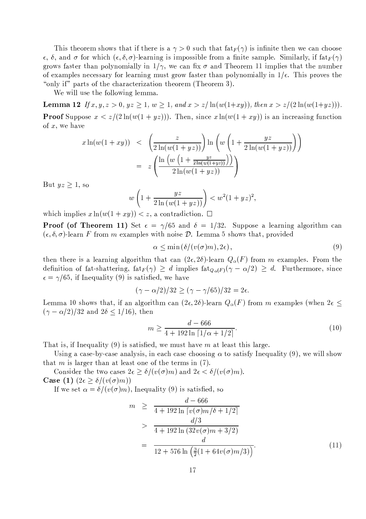This theorem shows that if there is a  $\gamma > 0$  such that  $f_{\text{at}}(\gamma)$  is infinite then we can choose  $\epsilon$ ,  $\delta$ , and  $\sigma$  for which  $(\epsilon, \delta, \sigma)$ -learning is impossible from a finite sample. Similarly, if fat $_F(\gamma)$ grows faster than polynomially in  $1/\gamma$ , we can fix  $\sigma$  and Theorem 11 implies that the number of examples necessary for learning must grow faster than polynomially in  $1/\epsilon$ . This proves the "only if" parts of the characterization theorem (Theorem 3).

We will use the following lemma.

**Lemma 12** If  $x, y, z > 0$ ,  $yz \ge 1$ ,  $w \ge 1$ , and  $x > z/\ln(w(1+xy))$ , then  $x > z/(2\ln(w(1+yz)))$ . **Proof** Suppose  $x < z/(2\ln(w(1+yz)))$ . Then, since  $x \ln(w(1+xy))$  is an increasing function of  $x$ , we have

$$
x \ln(w(1+xy)) < \left(\frac{z}{2\ln(w(1+yz))}\right) \ln\left(w\left(1+\frac{yz}{2\ln(w(1+yz))}\right)\right)
$$
  
= 
$$
z \left(\frac{\ln\left(w\left(1+\frac{yz}{2\ln(w(1+yz))}\right)\right)}{2\ln(w(1+yz))}\right)
$$

But  $yz \geq 1$ , so

$$
w\left(1+\frac{yz}{2\ln(w(1+yz))}\right) < w^2(1+yz)^2
$$

which implies  $x \ln(w(1+xy)) < z$ , a contradiction.  $\Box$ 

**Proof (of Theorem 11)** Set  $\epsilon = \gamma/65$  and  $\delta = 1/32$ . Suppose a learning algorithm can  $(\epsilon, \delta, \sigma)$ -learn F from m examples with noise D. Lemma 5 shows that, provided

$$
\alpha \le \min\left(\delta/(v(\sigma)m), 2\epsilon\right),\tag{9}
$$

then there is a learning algorithm that can  $(2\epsilon, 2\delta)$ -learn  $Q_{\alpha}(F)$  from m examples. From the definition of fat-shattering,  $fat_F(\gamma) \geq d$  implies  $fat_{Q_{\alpha}(F)}(\gamma - \alpha/2) \geq d$ . Furthermore, since  $\epsilon = \gamma/65$ , if Inequality (9) is satisfied, we have

$$
(\gamma - \alpha/2)/32 \ge (\gamma - \gamma/65)/32 = 2\epsilon.
$$

Lemma 10 shows that, if an algorithm can  $(2\epsilon, 2\delta)$ -learn  $Q_{\alpha}(F)$  from m examples (when  $2\epsilon \leq$  $(\gamma - \alpha/2)/32$  and  $2\delta \leq 1/16$ , then

$$
m \ge \frac{d - 666}{4 + 192 \ln \left[1/\alpha + 1/2\right]}.\tag{10}
$$

That is, if Inequality  $(9)$  is satisfied, we must have m at least this large.

Using a case-by-case analysis, in each case choosing  $\alpha$  to satisfy Inequality (9), we will show that m is larger than at least one of the terms in  $(7)$ .

Consider the two cases  $2\epsilon \geq \delta/(v(\sigma)m)$  and  $2\epsilon < \delta/(v(\sigma)m)$ . Case (1)  $(2\epsilon \geq \delta/(v(\sigma)m))$ 

If we set  $\alpha = \delta/(v(\sigma)m)$ , Inequality (9) is satisfied, so

$$
m \geq \frac{d - 666}{4 + 192 \ln \left[ v(\sigma) m / \delta + 1/2 \right]} \n> \frac{d/3}{4 + 192 \ln \left( 32 v(\sigma) m + 3/2 \right)} \n= \frac{d}{12 + 576 \ln \left( \frac{3}{2} (1 + 64 v(\sigma) m / 3) \right)}.
$$
\n(11)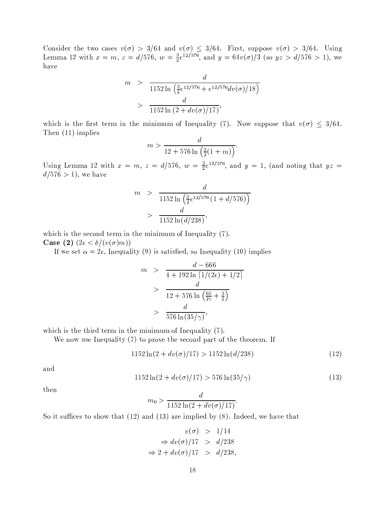Consider the two cases  $v(\sigma) > 3/64$  and  $v(\sigma) \leq 3/64$ . First, suppose  $v(\sigma) > 3/64$ . Using Lemma 12 with  $x = m$ ,  $z = d/576$ ,  $w = \frac{3}{2}e^{12/576}$ , and  $y = 64v(\sigma)/3$  (so  $yz > d/576 > 1$ ), we have

$$
m > \frac{d}{1152 \ln \left(\frac{3}{2}e^{12/576} + e^{12/576}dv(\sigma)/18\right)}
$$
  
> 
$$
\frac{d}{1152 \ln \left(2 + dv(\sigma)/17\right)},
$$

which is the first term in the minimum of Inequality (7). Now suppose that  $v(\sigma) \leq 3/64$ . Then  $(11)$  implies

$$
m > \frac{d}{12 + 576 \ln \left( \frac{3}{2} (1 + m) \right)}
$$

Using Lemma 12 with  $x = m$ ,  $z = d/576$ ,  $w = \frac{3}{2}e^{12/576}$ , and  $y = 1$ , (and noting that  $yz =$  $d/576 > 1$ , we have

$$
m > \frac{d}{1152 \ln\left(\frac{3}{2}e^{12/576} \left(1 + \frac{d}{576}\right)\right)}
$$

$$
> \frac{d}{1152 \ln\left(\frac{d}{238}\right)},
$$

which is the second term in the minimum of Inequality  $(7)$ . Case (2)  $(2\epsilon < \delta/(v(\sigma)m))$ 

If we set  $\alpha = 2\epsilon$ , Inequality (9) is satisfied, so Inequality (10) implies

$$
m > \frac{d - 666}{4 + 192 \ln \left[ 1/(2\epsilon) + 1/2 \right]}
$$
  
> 
$$
\frac{d}{12 + 576 \ln \left( \frac{65}{2\gamma} + \frac{3}{2} \right)}
$$
  
> 
$$
\frac{d}{576 \ln(35/\gamma)},
$$

which is the third term in the minimum of Inequality  $(7)$ .

We now use Inequality  $(7)$  to prove the second part of the theorem. If

$$
1152\ln(2 + dv(\sigma)/17) > 1152\ln(d/238)
$$
\n(12)

and

$$
1152\ln(2 + dv(\sigma)/17) > 576\ln(35/\gamma)
$$
\n(13)

then

$$
m_0 > \frac{d}{1152 \ln(2 + dv(\sigma)/17)}
$$

So it suffices to show that  $(12)$  and  $(13)$  are implied by  $(8)$ . Indeed, we have that

$$
v(\sigma) > 1/14
$$
  
\n
$$
\Rightarrow dv(\sigma)/17 > d/238
$$
  
\n
$$
\Rightarrow 2 + dv(\sigma)/17 > d/238,
$$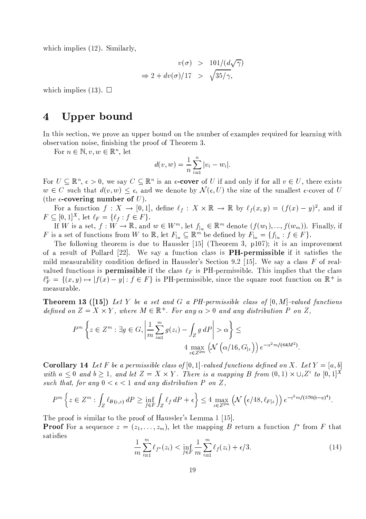which implies  $(12)$ . Similarly,

$$
v(\sigma) > 101/(d\sqrt{\gamma})
$$
  
\n
$$
\Rightarrow 2 + dv(\sigma)/17 > \sqrt{35/\gamma},
$$

which implies (13).  $\Box$ 

### Upper bound  $\overline{4}$

In this section, we prove an upper bound on the number of examples required for learning with observation noise, finishing the proof of Theorem 3.

For  $n \in \mathbb{N}, v, w \in \mathbb{R}^n$ , let

$$
d(v, w) = \frac{1}{n} \sum_{i=1}^{n} |v_i - w_i|.
$$

For  $U \subseteq \mathbb{R}^n$ ,  $\epsilon > 0$ , we say  $C \subseteq \mathbb{R}^n$  is an  $\epsilon$ -cover of U if and only if for all  $v \in U$ , there exists  $w \in C$  such that  $d(v, w) \leq \epsilon$ , and we denote by  $\mathcal{N}(\epsilon, U)$  the size of the smallest  $\epsilon$ -cover of U (the  $\epsilon$ -covering number of U).

For a function  $f: X \to [0,1],$  define  $\ell_f: X \times \mathbb{R} \to \mathbb{R}$  by  $\ell_f(x,y) = (f(x)-y)^2$ , and if  $F \subseteq [0,1]^X$ , let  $\ell_F = \{\ell_f : f \in F\}.$ 

If W is a set,  $f: W \to \mathbb{R}$ , and  $w \in W^m$ , let  $f_{|w} \in \mathbb{R}^m$  denote  $(f(w_1), ..., f(w_m))$ . Finally, if F is a set of functions from W to  $\mathbb{R}$ , let  $F_{|w} \subseteq \mathbb{R}^m$  be defined by  $F_{|w} = \{f_{|w} : f \in F\}$ .

The following theorem is due to Haussler [15] (Theorem 3,  $p107$ ); it is an improvement of a result of Pollard  $[22]$ . We say a function class is **PH-permissible** if it satisfies the mild measurability condition defined in Haussler's Section 9.2 [15]. We say a class F of realvalued functions is **permissible** if the class  $\ell_F$  is PH-permissible. This implies that the class  $\ell_F^a = \{(x, y) \mapsto |f(x) - y| : f \in F\}$  is PH-permissible, since the square root function on  $\mathbb{R}^+$  is measurable.

**Theorem 13** ([15]) Let Y be a set and G a PH-permissible class of  $[0, M]$ -valued functions defined on  $Z = X \times Y$ , where  $M \in \mathbb{R}^+$ . For any  $\alpha > 0$  and any distribution P on Z.

$$
P^{m}\left\{z \in Z^{m}: \exists g \in G, \left|\frac{1}{m} \sum_{i=1}^{m} g(z_{i}) - \int_{Z} g dP\right| > \alpha\right\} \le
$$
  

$$
4 \max_{z \in Z^{2m}} \left(\mathcal{N}\left(\alpha/16, G_{|z}\right)\right) e^{-\alpha^{2} m/(64M^{2})}.
$$

**Corollary 14** Let F be a permissible class of  $[0,1]$ -valued functions defined on X. Let  $Y = [a, b]$ with  $a \leq 0$  and  $b \geq 1$ , and let  $Z = X \times Y$ . There is a mapping B from  $(0,1) \times \cup_i Z^i$  to  $[0,1]^X$ such that, for any  $0 < \epsilon < 1$  and any distribution P on Z,

$$
P^m\left\{z\in Z^m:\int_Z\ell_{B(\epsilon,z)}dP\geq\inf_{f\in F}\int_Z\ell_f\,dP+\epsilon\right\}\leq 4\max_{z\in Z^{2m}}\left(\mathcal{N}\left(\epsilon/48,\ell_{F|z}\right)\right)e^{-\epsilon^2m/(576(b-a)^4)}
$$

The proof is similar to the proof of Haussler's Lemma 1 [15].

**Proof** For a sequence  $z = (z_1, \ldots, z_m)$ , let the mapping B return a function  $f^*$  from F that satisfies

$$
\frac{1}{m} \sum_{i=1}^{m} \ell_{f^*}(z_i) < \inf_{f \in F} \frac{1}{m} \sum_{i=1}^{m} \ell_f(z_i) + \epsilon/3. \tag{14}
$$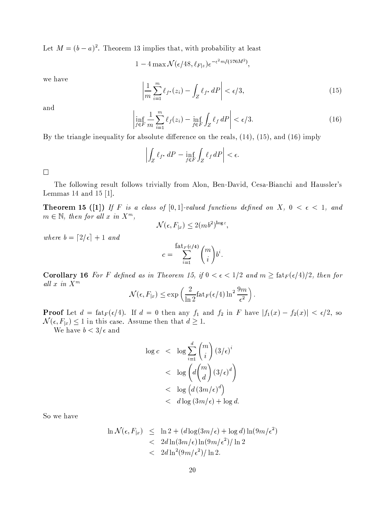Let  $M = (b - a)^2$ . Theorem 13 implies that, with probability at least

$$
1-4\max\mathcal{N}(\epsilon/48,\ell_{F|z})e^{-\epsilon^2 m/(576M^2)},
$$

we have

$$
\left| \frac{1}{m} \sum_{i=1}^{m} \ell_{f^*}(z_i) - \int_Z \ell_{f^*} dP \right| < \epsilon/3,\tag{15}
$$

and

$$
\left|\inf_{f\in F} \frac{1}{m} \sum_{i=1}^m \ell_f(z_i) - \inf_{f\in F} \int_Z \ell_f dP\right| < \epsilon/3. \tag{16}
$$

By the triangle inequality for absolute difference on the reals,  $(14)$ ,  $(15)$ , and  $(16)$  imply

$$
\left| \int_Z \ell_{f^*} \, dP - \inf_{f \in F} \int_Z \ell_f \, dP \right| < \epsilon.
$$

 $\Box$ 

The following result follows trivially from Alon, Ben-David, Cesa-Bianchi and Haussler's Lemmas 14 and 15  $[1]$ .

**Theorem 15** ([1]) If F is a class of [0,1]-valued functions defined on X,  $0 < \epsilon < 1$ , and  $m \in \mathbb{N}$ , then for all x in  $X^m$ ,

$$
\mathcal{N}(\epsilon, F_{|x}) \le 2(mb^2)^{\log c},
$$

where  $b = \lfloor 2/\epsilon \rfloor + 1$  and

$$
c = \sum_{i=1}^{\text{fat}_F(\epsilon/4)} \binom{m}{i} b^i.
$$

**Corollary 16** For F defined as in Theorem 15, if  $0 < \epsilon < 1/2$  and  $m \geq \text{fat}_F(\epsilon/4)/2$ , then for all  $x$  in  $X^m$ 

$$
\mathcal{N}(\epsilon, F_{|x}) \le \exp\left(\frac{2}{\ln 2} \operatorname{fat}_F(\epsilon/4) \ln^2 \frac{9m}{\epsilon^2}\right).
$$

**Proof** Let  $d = \text{fat}_F(\epsilon/4)$ . If  $d = 0$  then any  $f_1$  and  $f_2$  in F have  $|f_1(x) - f_2(x)| < \epsilon/2$ , so  $\mathcal{N}(\epsilon, F_{|x}) \leq 1$  in this case. Assume then that  $d \geq 1$ .

We have  $b < 3/\epsilon$  and

$$
\log c < \log \sum_{i=1}^{d} \binom{m}{i} \left( 3/\epsilon \right)^i \\
&< \log \left( d \binom{m}{d} \left( 3/\epsilon \right)^d \right) \\
&< \log \left( d \left( 3m/\epsilon \right)^d \right) \\
&< d \log \left( 3m/\epsilon \right) + \log d.
$$

So we have

$$
\ln \mathcal{N}(\epsilon, F_{|x}) \leq \ln 2 + (d \log(3m/\epsilon) + \log d) \ln(9m/\epsilon^2)
$$
  
< 
$$
< 2d \ln(3m/\epsilon) \ln(9m/\epsilon^2) / \ln 2
$$
  
< 
$$
< 2d \ln^2(9m/\epsilon^2) / \ln 2.
$$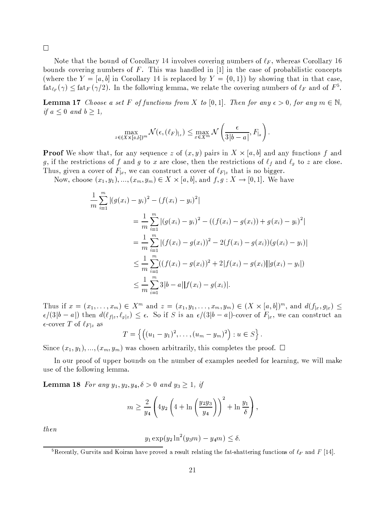$\Box$ 

Note that the bound of Corollary 14 involves covering numbers of  $\ell_F$ , whereas Corollary 16 bounds covering numbers of F. This was handled in  $[1]$  in the case of probabilistic concepts (where the  $Y = [a, b]$  in Corollary 14 is replaced by  $Y = \{0, 1\}$ ) by showing that in that case,  $\text{fat}_{\ell_F}(\gamma) \leq \text{fat}_F(\gamma/2)$ . In the following lemma, we relate the covering numbers of  $\ell_F$  and of  $F^5$ .

**Lemma 17** Choose a set F of functions from X to [0,1]. Then for any  $\epsilon > 0$ , for any  $m \in \mathbb{N}$ , if  $a \leq 0$  and  $b \geq 1$ ,

$$
\max_{z \in (X \times [a,b])^m} \mathcal{N}(\epsilon, (\ell_F)_{|z}) \leq \max_{x \in X^m} \mathcal{N}\left(\frac{\epsilon}{3|b-a|}, F_{|x}\right).
$$

**Proof** We show that, for any sequence z of  $(x, y)$  pairs in  $X \times [a, b]$  and any functions f and g, if the restrictions of f and g to x are close, then the restrictions of  $\ell_f$  and  $\ell_g$  to z are close. Thus, given a cover of  $F_{|x}$ , we can construct a cover of  $\ell_{F|z}$  that is no bigger.

Now, choose  $(x_1, y_1), ..., (x_m, y_m) \in X \times [a, b]$ , and  $f, g: X \to [0, 1]$ . We have

$$
\frac{1}{m} \sum_{i=1}^{m} |(g(x_i) - y_i)^2 - (f(x_i) - y_i)^2|
$$
\n
$$
= \frac{1}{m} \sum_{i=1}^{m} |(g(x_i) - y_i)^2 - ((f(x_i) - g(x_i)) + g(x_i) - y_i)^2|
$$
\n
$$
= \frac{1}{m} \sum_{i=1}^{m} |(f(x_i) - g(x_i))^2 - 2(f(x_i) - g(x_i))(g(x_i) - y_i)|
$$
\n
$$
\leq \frac{1}{m} \sum_{i=1}^{m} ((f(x_i) - g(x_i))^2 + 2|f(x_i) - g(x_i)||g(x_i) - y_i|)
$$
\n
$$
\leq \frac{1}{m} \sum_{i=1}^{m} 3|b - a||f(x_i) - g(x_i)|.
$$

Thus if  $x = (x_1, ..., x_m) \in X^m$  and  $z = (x_1, y_1, ..., x_m, y_m) \in (X \times [a, b])^m$ , and  $d(f_{|x}, g_{|x}) \le$  $\epsilon/(3|b-a|)$  then  $d(\ell_{f|z},\ell_{g|z}) \leq \epsilon$ . So if S is an  $\epsilon/(3|b-a|)$ -cover of  $F_{|x|}$ , we can construct an  $\epsilon$ -cover T of  $\ell_{F|z}$  as

$$
T = \left\{ \left( (u_1 - y_1)^2, \ldots, (u_m - y_m)^2 \right) : u \in S \right\}.
$$

Since  $(x_1, y_1), ..., (x_m, y_m)$  was chosen arbitrarily, this completes the proof.  $\Box$ 

In our proof of upper bounds on the number of examples needed for learning, we will make use of the following lemma.

**Lemma 18** For any  $y_1, y_2, y_4, \delta > 0$  and  $y_3 \ge 1$ , if

$$
m \ge \frac{2}{y_4} \left( 4y_2 \left( 4 + \ln \left( \frac{y_2 y_3}{y_4} \right) \right)^2 + \ln \frac{y_1}{\delta} \right),
$$

then

$$
y_1 \exp(y_2 \ln^2(y_3 m) - y_4 m) \le \delta
$$

<sup>&</sup>lt;sup>5</sup>Recently, Gurvits and Koiran have proved a result relating the fat-shattering functions of  $\ell_F$  and F [14].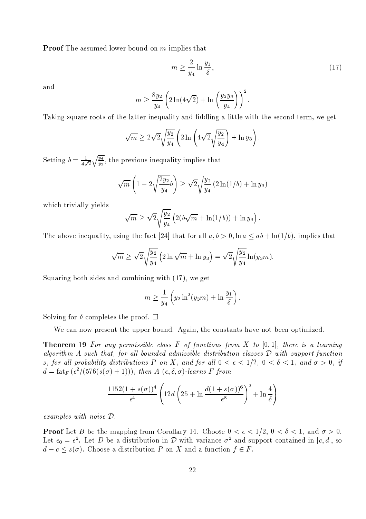**Proof** The assumed lower bound on m implies that

$$
m \ge \frac{2}{y_4} \ln \frac{y_1}{\delta},\tag{17}
$$

and

$$
m \ge \frac{8y_2}{y_4} \left( 2\ln(4\sqrt{2}) + \ln\left(\frac{y_2y_3}{y_4}\right) \right)^2.
$$

Taking square roots of the latter inequality and fiddling a little with the second term, we get

$$
\sqrt{m} \ge 2\sqrt{2}\sqrt{\frac{y_2}{y_4}} \left(2\ln\left(4\sqrt{2}\sqrt{\frac{y_2}{y_4}}\right) + \ln y_3\right).
$$

Setting  $b = \frac{1}{4\sqrt{2}}\sqrt{\frac{y_4}{y_2}}$ , the previous inequality implies that

$$
\sqrt{m}\left(1-2\sqrt{\frac{2y_2}{y_4}}b\right) \ge \sqrt{2}\sqrt{\frac{y_2}{y_4}}\left(2\ln(1/b) + \ln y_3\right)
$$

which trivially yields

$$
\sqrt{m} \ge \sqrt{2} \sqrt{\frac{y_2}{y_4}} \left( 2(b\sqrt{m} + \ln(1/b)) + \ln y_3 \right).
$$

The above inequality, using the fact [24] that for all  $a, b > 0$ ,  $\ln a \le ab + \ln(1/b)$ , implies that

$$
\sqrt{m} \ge \sqrt{2} \sqrt{\frac{y_2}{y_4}} \left( 2 \ln \sqrt{m} + \ln y_3 \right) = \sqrt{2} \sqrt{\frac{y_2}{y_4}} \ln(y_3 m).
$$

Squaring both sides and combining with (17), we get

$$
m \ge \frac{1}{y_4} \left( y_2 \ln^2(y_3 m) + \ln \frac{y_1}{\delta} \right)
$$

Solving for  $\delta$  completes the proof.  $\Box$ 

We can now present the upper bound. Again, the constants have not been optimized.

**Theorem 19** For any permissible class F of functions from X to  $[0,1]$ , there is a learning algorithm A such that, for all bounded admissible distribution classes  $D$  with support function s, for all probability distributions P on X, and for all  $0 < \epsilon < 1/2$ ,  $0 < \delta < 1$ , and  $\sigma > 0$ , if  $d = \text{fat}_F(\epsilon^2/(576(s(\sigma)+1))), \text{ then } A(\epsilon, \delta, \sigma)$ -learns F from

$$
\frac{1152(1+s(\sigma))^4}{\epsilon^4} \left(12d\left(25+\ln\frac{d(1+s(\sigma))^6}{\epsilon^8}\right)^2+\ln\frac{4}{\delta}\right)
$$

 $examples$  with noise  $D$ .

**Proof** Let B be the mapping from Corollary 14. Choose  $0 < \epsilon < 1/2$ ,  $0 < \delta < 1$ , and  $\sigma > 0$ . Let  $\epsilon_0 = \epsilon^2$ . Let D be a distribution in D with variance  $\sigma^2$  and support contained in [c, d], so  $d - c \leq s(\sigma)$ . Choose a distribution P on X and a function  $f \in F$ .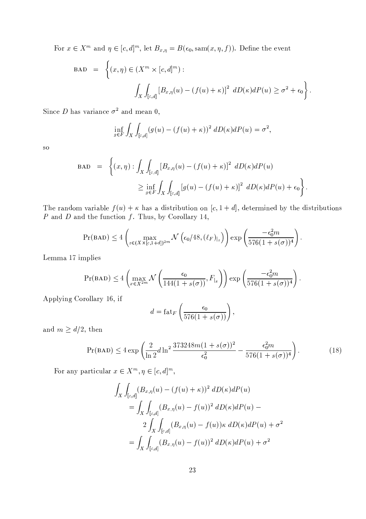For  $x \in X^m$  and  $\eta \in [c, d]^m$ , let  $B_{x, \eta} = B(\epsilon_0, \text{sam}(x, \eta, f))$ . Define the event

$$
\begin{array}{lcl} \text{BAD} & = & \left\{ (x,\eta) \in (X^m \times [c,d]^m) : \right. \\ & & \left. \int_X \int_{[c,d]} \left[ B_{x,\eta}(u) - (f(u)+\kappa) \right]^2 \ dD(\kappa) dP(u) \geq \sigma^2 + \epsilon_0 \right\} \end{array}
$$

Since D has variance  $\sigma^2$  and mean 0,

$$
\inf_{g \in F} \int_X \int_{[c,d]} (g(u) - (f(u) + \kappa))^2 \ dD(\kappa) dP(u) = \sigma^2,
$$

<sub>SO</sub>

$$
\begin{array}{lcl} \text{BAD} & = & \left\{ (x,\eta): \int_X \int_{[c,d]} \left[ B_{x,\eta}(u) - (f(u) + \kappa) \right]^2 \ dD(\kappa) dP(u) \right. \\ & & \geq \inf_{g \in F} \int_X \int_{[c,d]} \left[ g(u) - (f(u) + \kappa) \right]^2 \ dD(\kappa) dP(u) + \epsilon_0 \right\} \end{array}
$$

The random variable  $f(u) + \kappa$  has a distribution on  $[c, 1 + d]$ , determined by the distributions  $P$  and  $D$  and the function  $f$ . Thus, by Corollary 14,

$$
\Pr(BAD) \le 4 \left( \max_{z \in (X \times [c, 1+d])^{2m}} \mathcal{N}\left(\epsilon_0/48, (\ell_F)_{|z}\right) \right) \exp\left(\frac{-\epsilon_0^2 m}{576(1+s(\sigma))^4}\right).
$$

Lemma 17 implies

$$
\Pr(BAD) \le 4 \left( \max_{x \in X^{2m}} \mathcal{N} \left( \frac{\epsilon_0}{144(1 + s(\sigma))}, F_{|x} \right) \right) \exp \left( \frac{-\epsilon_0^2 m}{576(1 + s(\sigma))^4} \right)
$$

Applying Corollary 16, if

$$
d = \operatorname{fat}_F \left( \frac{\epsilon_0}{576(1 + s(\sigma))} \right),
$$

and  $m \ge d/2$ , then

$$
Pr(BAD) \le 4 \exp\left(\frac{2}{\ln 2} d \ln^2 \frac{373248m(1+s(\sigma))^2}{\epsilon_0^2} - \frac{\epsilon_0^2 m}{576(1+s(\sigma))^4}\right). \tag{18}
$$

For any particular  $x \in X^m, \eta \in [c, d]^m$ ,

$$
\int_{X} \int_{[c,d]} (B_{x,\eta}(u) - (f(u) + \kappa))^2 \, dD(\kappa) dP(u)
$$
\n
$$
= \int_{X} \int_{[c,d]} (B_{x,\eta}(u) - f(u))^2 \, dD(\kappa) dP(u) -
$$
\n
$$
2 \int_{X} \int_{[c,d]} (B_{x,\eta}(u) - f(u))\kappa \, dD(\kappa) dP(u) + \sigma^2
$$
\n
$$
= \int_{X} \int_{[c,d]} (B_{x,\eta}(u) - f(u))^2 \, dD(\kappa) dP(u) + \sigma^2
$$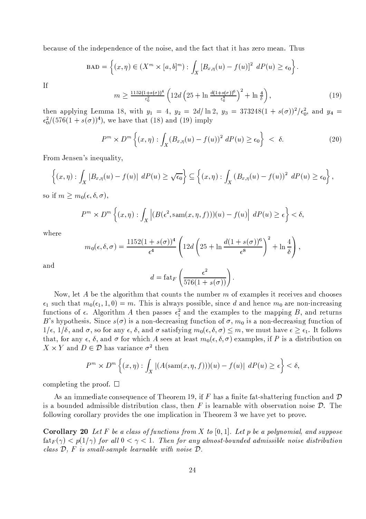because of the independence of the noise, and the fact that it has zero mean. Thus

$$
\text{BAD} = \left\{ (x,\eta) \in (X^m \times [a,b]^m) : \int_X [B_{x,\eta}(u) - f(u)]^2 \ dP(u) \ge \epsilon_0 \right\}.
$$

 $If$ 

$$
m \ge \frac{1152(1+s(\sigma))^4}{\epsilon_0^2} \left( 12d \left( 25 + \ln \frac{d(1+s(\sigma))^6}{\epsilon_0^4} \right)^2 + \ln \frac{4}{\delta} \right),\tag{19}
$$

then applying Lemma 18, with  $y_1 = 4$ ,  $y_2 = 2d/\ln 2$ ,  $y_3 = 373248(1 + s(\sigma))^2/\epsilon_0^2$ , and  $y_4 =$  $\epsilon_0^2/(576(1+s(\sigma))^4)$ , we have that (18) and (19) imply

$$
P^m \times D^m \left\{ (x, \eta) : \int_X (B_{x, \eta}(u) - f(u))^2 \ dP(u) \ge \epsilon_0 \right\} \ < \ \delta. \tag{20}
$$

From Jensen's inequality,

$$
\left\{(x,\eta): \int_X |B_{x,\eta}(u) - f(u)| \ dP(u) \geq \sqrt{\epsilon_0} \right\} \subseteq \left\{(x,\eta): \int_X (B_{x,\eta}(u) - f(u))^2 \ dP(u) \geq \epsilon_0 \right\},\
$$

so if  $m \geq m_0(\epsilon, \delta, \sigma)$ ,

$$
P^m \times D^m \left\{ (x, \eta) : \int_X \left| (B(\epsilon^2, \text{sam}(x, \eta, f))) (u) - f(u) \right| \ dP(u) \ge \epsilon \right\} < \delta,
$$

where

$$
m_0(\epsilon, \delta, \sigma) = \frac{1152(1 + s(\sigma))^4}{\epsilon^4} \left( 12d \left( 25 + \ln \frac{d(1 + s(\sigma))^6}{\epsilon^8} \right)^2 + \ln \frac{4}{\delta} \right),
$$

and

$$
d = \operatorname{fat}_F\left(\frac{\epsilon^2}{576(1+s(\sigma))}\right).
$$

Now, let A be the algorithm that counts the number  $m$  of examples it receives and chooses  $\epsilon_1$  such that  $m_0(\epsilon_1, 1, 0) = m$ . This is always possible, since d and hence  $m_0$  are non-increasing functions of  $\epsilon$ . Algorithm A then passes  $\epsilon_1^2$  and the examples to the mapping B, and returns B's hypothesis. Since  $s(\sigma)$  is a non-decreasing function of  $\sigma$ ,  $m_0$  is a non-decreasing function of  $1/\epsilon$ ,  $1/\delta$ , and  $\sigma$ , so for any  $\epsilon$ ,  $\delta$ , and  $\sigma$  satisfying  $m_0(\epsilon, \delta, \sigma) \leq m$ , we must have  $\epsilon \geq \epsilon_1$ . It follows that, for any  $\epsilon$ ,  $\delta$ , and  $\sigma$  for which A sees at least  $m_0(\epsilon, \delta, \sigma)$  examples, if P is a distribution on  $X \times Y$  and  $D \in \mathcal{D}$  has variance  $\sigma^2$  then

$$
P^m \times D^m \left\{ (x, \eta) : \int_X |(A(\operatorname{sam}(x, \eta, f)))(u) - f(u)| \ dP(u) \ge \epsilon \right\} < \delta,
$$

completing the proof.  $\square$ 

As an immediate consequence of Theorem 19, if F has a finite fat-shattering function and  $\mathcal D$ is a bounded admissible distribution class, then F is learnable with observation noise  $\mathcal{D}$ . The following corollary provides the one implication in Theorem 3 we have yet to prove.

**Corollary 20** Let F be a class of functions from X to [0, 1]. Let p be a polynomial, and suppose  $\text{fat}_F(\gamma) < p(1/\gamma)$  for all  $0 < \gamma < 1$ . Then for any almost-bounded admissible noise distribution class  $D$ ,  $F$  is small-sample learnable with noise  $D$ .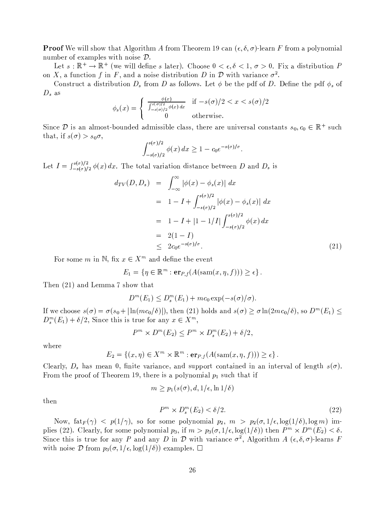**Proof** We will show that Algorithm A from Theorem 19 can  $(\epsilon, \delta, \sigma)$ -learn F from a polynomial number of examples with noise  $\mathcal{D}$ .

Let  $s:\mathbb{R}^+\to\mathbb{R}^+$  (we will define s later). Choose  $0 < \epsilon, \delta < 1, \sigma > 0$ . Fix a distribution P on X, a function f in F, and a noise distribution D in  $\mathcal D$  with variance  $\sigma^2$ .

Construct a distribution  $D_s$  from D as follows. Let  $\phi$  be the pdf of D. Define the pdf  $\phi_s$  of  $D_s$  as

$$
\phi_s(x) = \begin{cases} \frac{\phi(x)}{\int_{-s(\sigma)/2}^{s(\sigma)/2} \phi(x) dx} & \text{if } -s(\sigma)/2 < x < s(\sigma)/2\\ 0 & \text{otherwise.} \end{cases}
$$

Since D is an almost-bounded admissible class, there are universal constants  $s_0, c_0 \in \mathbb{R}^+$  such that, if  $s(\sigma) > s_0 \sigma$ ,

$$
\int_{-s(\sigma)/2}^{s(\sigma)/2} \phi(x) dx \ge 1 - c_0 e^{-s(\sigma)/\sigma}
$$

Let  $I = \int_{-s(\sigma)/2}^{s(\sigma)/2} \phi(x) dx$ . The total variation distance between D and D<sub>s</sub> is

$$
d_{TV}(D, D_s) = \int_{-\infty}^{\infty} |\phi(x) - \phi_s(x)| dx
$$
  
\n
$$
= 1 - I + \int_{-s(\sigma)/2}^{s(\sigma)/2} |\phi(x) - \phi_s(x)| dx
$$
  
\n
$$
= 1 - I + |1 - 1/I| \int_{-s(\sigma)/2}^{s(\sigma)/2} \phi(x) dx
$$
  
\n
$$
= 2(1 - I)
$$
  
\n
$$
\leq 2c_0 e^{-s(\sigma)/\sigma}.
$$
 (21)

For some m in N, fix  $x \in X^m$  and define the event

$$
E_1 = \{ \eta \in \mathbb{R}^m : \mathbf{er}_{P,f}(A(\operatorname{sam}(x, \eta, f))) \ge \epsilon \}.
$$

Then (21) and Lemma 7 show that

$$
D^{m}(E_1) \leq D_s^{m}(E_1) + mc_0 \exp(-s(\sigma)/\sigma).
$$

If we choose  $s(\sigma) = \sigma(s_0 + |\ln(m c_0/\delta)|)$ , then (21) holds and  $s(\sigma) \geq \sigma \ln(2mc_0/\delta)$ , so  $D^m(E_1) \leq$  $D_s^m(E_1) + \delta/2$ , Since this is true for any  $x \in X^m$ ,

$$
P^m \times D^m(E_2) \le P^m \times D_s^m(E_2) + \delta/2,
$$

where

$$
E_2 = \{(x, \eta) \in X^m \times \mathbb{R}^m : \mathbf{er}_{P,f}(A(\text{sam}(x, \eta, f))) \ge \epsilon\}
$$

Clearly,  $D_s$  has mean 0, finite variance, and support contained in an interval of length  $s(\sigma)$ . From the proof of Theorem 19, there is a polynomial  $p_1$  such that if

$$
m \ge p_1(s(\sigma), d, 1/\epsilon, \ln 1/\delta)
$$
  

$$
P^m \times D^m(\mathcal{E}_2) < \delta/2.
$$
 (22)

then

Now,  $\text{fat}_F(\gamma)$  <  $p(1/\gamma)$ , so for some polynomial  $p_2$ ,  $m > p_2(\sigma, 1/\epsilon, \log(1/\delta), \log m)$  implies (22). Clearly, for some polynomial  $p_3$ , if  $m > p_3(\sigma, 1/\epsilon, \log(1/\delta))$  then  $P^m \times D^m(E_2) < \delta$ . Since this is true for any P and any D in D with variance  $\sigma^2$ , Algorithm A  $(\epsilon, \delta, \sigma)$ -learns F with noise  $\mathcal D$  from  $p_3(\sigma,1/\epsilon,\log(1/\delta))$  examples.  $\Box$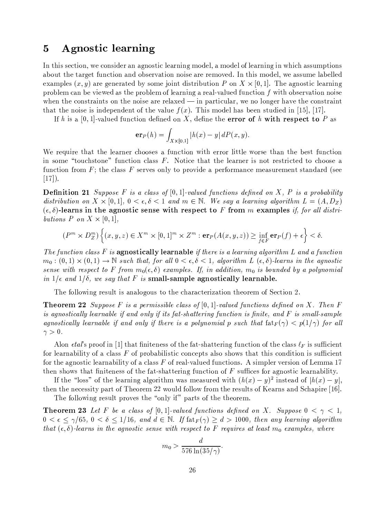## **Agnostic learning**  $\overline{5}$

In this section, we consider an agnostic learning model, a model of learning in which assumptions about the target function and observation noise are removed. In this model, we assume labelled examples  $(x, y)$  are generated by some joint distribution P on  $X \times [0, 1]$ . The agnostic learning problem can be viewed as the problem of learning a real-valued function  $f$  with observation noise when the constraints on the noise are relaxed  $\frac{1}{2}$  in particular, we no longer have the constraint that the noise is independent of the value  $f(x)$ . This model has been studied in [15], [17].

If h is a [0,1]-valued function defined on X, define the error of h with respect to P as

$$
\mathbf{er}_P(h) = \int_{X \times [0,1]} |h(x) - y| \, dP(x, y)
$$

We require that the learner chooses a function with error little worse than the best function in some "touchstone" function class F. Notice that the learner is not restricted to choose a function from  $F$ ; the class  $F$  serves only to provide a performance measurement standard (see  $[17]$ .

**Definition 21** Suppose F is a class of  $[0,1]$ -valued functions defined on X, P is a probability distribution on  $X \times [0,1]$ ,  $0 < \epsilon, \delta < 1$  and  $m \in \mathbb{N}$ . We say a learning algorithm  $L = (A, D_Z)$  $(\epsilon, \delta)$ -learns in the agnostic sense with respect to F from m examples if, for all distributions P on  $X \times [0,1]$ ,

$$
(P^m \times D_Z^m) \left\{ (x, y, z) \in X^m \times [0, 1]^m \times Z^m : \mathbf{er}_P(A(x, y, z)) \ge \inf_{f \in F} \mathbf{er}_P(f) + \epsilon \right\} < \delta.
$$

The function class F is agnostically learnable if there is a learning algorithm L and a function  $m_0: (0,1) \times (0,1) \to \mathbb{N}$  such that, for all  $0 < \epsilon, \delta < 1$ , algorithm L  $(\epsilon, \delta)$ -learns in the agnostic sense with respect to F from  $m_0(\epsilon, \delta)$  examples. If, in addition,  $m_0$  is bounded by a polynomial in  $1/\epsilon$  and  $1/\delta$ , we say that F is small-sample agnostically learnable.

The following result is analogous to the characterization theorem of Section 2.

**Theorem 22** Suppose F is a permissible class of  $[0,1]$ -valued functions defined on X. Then F is agnostically learnable if and only if its fat-shattering function is finite, and F is small-sample agnostically learnable if and only if there is a polynomial p such that  $f_{\text{at}}(\gamma) < p(1/\gamma)$  for all  $\gamma > 0$ .

Alon *etal*'s proof in [1] that finiteness of the fat-shattering function of the class  $\ell_F$  is sufficient for learnability of a class  $F$  of probabilistic concepts also shows that this condition is sufficient for the agnostic learnability of a class  $F$  of real-valued functions. A simpler version of Lemma 17 then shows that finiteness of the fat-shattering function of  $F$  suffices for agnostic learnability.

If the "loss" of the learning algorithm was measured with  $(h(x) - y)^2$  instead of  $|h(x) - y|$ . then the necessity part of Theorem 22 would follow from the results of Kearns and Schapire [16].

The following result proves the "only if" parts of the theorem.

**Theorem 23** Let F be a class of [0,1]-valued functions defined on X. Suppose  $0 < \gamma < 1$ ,  $0 < \epsilon \leq \gamma/65$ ,  $0 < \delta \leq 1/16$ , and  $d \in \mathbb{N}$ . If  $f_{\text{at } F}(\gamma) > d > 1000$ , then any learning algorithm that  $(\epsilon, \delta)$ -learns in the agnostic sense with respect to F requires at least  $m_0$  examples, where

$$
m_0 > \frac{d}{576 \ln(35/\gamma)}
$$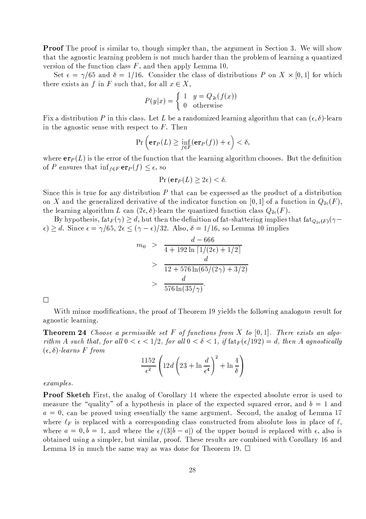**Proof** The proof is similar to, though simpler than, the argument in Section 3. We will show that the agnostic learning problem is not much harder than the problem of learning a quantized version of the function class  $F$ , and then apply Lemma 10.

Set  $\epsilon = \gamma/65$  and  $\delta = 1/16$ . Consider the class of distributions P on X  $\times$  [0,1] for which there exists an f in F such that, for all  $x \in X$ ,

$$
P(y|x) = \begin{cases} 1 & y = Q_{2\epsilon}(f(x)) \\ 0 & \text{otherwise} \end{cases}
$$

Fix a distribution P in this class. Let L be a randomized learning algorithm that can  $(\epsilon, \delta)$ -learn in the agnostic sense with respect to  $F$ . Then

$$
\Pr\left(\mathbf{er}_P(L) \ge \inf_{f \in F}(\mathbf{er}_P(f)) + \epsilon\right) < \delta,
$$

where  $er_P(L)$  is the error of the function that the learning algorithm chooses. But the definition of P ensures that  $\inf_{f \in F} \exp(f) \leq \epsilon$ , so

$$
\Pr\left(\mathbf{er}_P(L) \ge 2\epsilon\right) < \delta.
$$

Since this is true for any distribution  $P$  that can be expressed as the product of a distribution on X and the generalized derivative of the indicator function on [0, 1] of a function in  $Q_{2e}(F)$ , the learning algorithm L can  $(2\epsilon, \delta)$ -learn the quantized function class  $Q_{2\epsilon}(F)$ .

By hypothesis,  $f_{\text{at}}(r) \geq d$ , but then the definition of fat-shattering implies that  $f_{a_2,F}(r)$  $\epsilon$ )  $\geq d$ . Since  $\epsilon = \gamma/65$ ,  $2\epsilon \leq (\gamma - \epsilon)/32$ . Also,  $\delta = 1/16$ , so Lemma 10 implies

$$
m_0 > \frac{d - 666}{4 + 192 \ln \left[ 1/(2\epsilon) + 1/2 \right]}
$$
  
> 
$$
\frac{d}{12 + 576 \ln(65/(2\gamma) + 3/2)}
$$
  
> 
$$
\frac{d}{576 \ln(35/\gamma)}.
$$

 $\Box$ 

With minor modifications, the proof of Theorem 19 yields the following analogous result for agnostic learning.

**Theorem 24** Choose a permissible set  $F$  of functions from  $X$  to  $[0,1]$ . There exists an algorithm A such that, for all  $0 < \epsilon < 1/2$ , for all  $0 < \delta < 1$ , if  $f \text{at}_F(\epsilon/192) = d$ , then A agnostically  $(\epsilon, \delta)$ -learns F from

$$
\frac{1152}{\epsilon^2} \left( 12d \left( 23 + \ln \frac{d}{\epsilon^4} \right)^2 + \ln \frac{4}{\delta} \right)
$$

## $examples.$

**Proof Sketch** First, the analog of Corollary 14 where the expected absolute error is used to measure the "quality" of a hypothesis in place of the expected squared error, and  $b = 1$  and  $a = 0$ , can be proved using essentially the same argument. Second, the analog of Lemma 17 where  $\ell_F$  is replaced with a corresponding class constructed from absolute loss in place of  $\ell$ , where  $a = 0, b = 1$ , and where the  $\epsilon/(3|b-a|)$  of the upper bound is replaced with  $\epsilon$ , also is obtained using a simpler, but similar, proof. These results are combined with Corollary 16 and Lemma 18 in much the same way as was done for Theorem 19.  $\Box$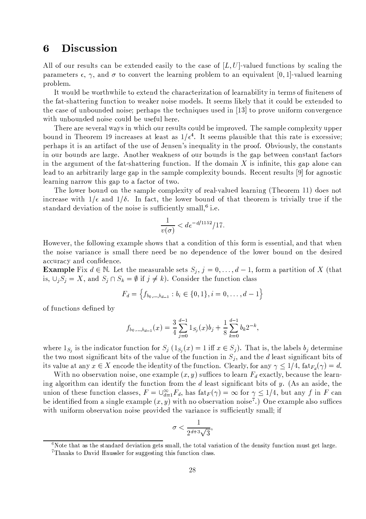## Discussion 6

All of our results can be extended easily to the case of  $[L, U]$ -valued functions by scaling the parameters  $\epsilon$ ,  $\gamma$ , and  $\sigma$  to convert the learning problem to an equivalent [0,1]-valued learning problem.

It would be worthwhile to extend the characterization of learnability in terms of finiteness of the fat-shattering function to weaker noise models. It seems likely that it could be extended to the case of unbounded noise; perhaps the techniques used in  $[13]$  to prove uniform convergence with unbounded noise could be useful here.

There are several ways in which our results could be improved. The sample complexity upper bound in Theorem 19 increases at least as  $1/\epsilon^4$ . It seems plausible that this rate is excessive; perhaps it is an artifact of the use of Jensen's inequality in the proof. Obviously, the constants in our bounds are large. Another weakness of our bounds is the gap between constant factors in the argument of the fat-shattering function. If the domain  $X$  is infinite, this gap alone can lead to an arbitrarily large gap in the sample complexity bounds. Recent results [9] for agnostic learning narrow this gap to a factor of two.

The lower bound on the sample complexity of real-valued learning (Theorem 11) does not increase with  $1/\epsilon$  and  $1/\delta$ . In fact, the lower bound of that theorem is trivially true if the standard deviation of the noise is sufficiently small,<sup>6</sup> i.e.

$$
\frac{1}{v(\sigma)} < d e^{-d/1152} / 17.
$$

However, the following example shows that a condition of this form is essential, and that when the noise variance is small there need be no dependence of the lower bound on the desired accuracy and confidence.

**Example** Fix  $d \in \mathbb{N}$ . Let the measurable sets  $S_j$ ,  $j = 0, \ldots, d-1$ , form a partition of X (that is,  $\bigcup_i S_i = X$ , and  $S_i \cap S_k = \emptyset$  if  $j \neq k$ ). Consider the function class

$$
F_d = \left\{ f_{b_0,\dots,b_{d-1}} : b_i \in \{0,1\}, i = 0,\dots, d-1 \right\}
$$

of functions defined by

$$
f_{b_0,\dots,b_{d-1}}(x) = \frac{3}{4} \sum_{j=0}^{d-1} 1_{S_j}(x) b_j + \frac{1}{8} \sum_{k=0}^{d-1} b_k 2^{-k},
$$

where  $1_{S_i}$  is the indicator function for  $S_i$   $(1_{S_i}(x) = 1$  iff  $x \in S_i$ ). That is, the labels  $b_i$  determine the two most significant bits of the value of the function in  $S_i$ , and the d least significant bits of its value at any  $x \in X$  encode the identity of the function. Clearly, for any  $\gamma \leq 1/4$ ,  $\text{fat}_{F_d}(\gamma) = d$ .

With no observation noise, one example  $(x, y)$  suffices to learn  $F_d$  exactly, because the learning algorithm can identify the function from the  $d$  least significant bits of  $y$ . (As an aside, the union of these function classes,  $F = \bigcup_{d=1}^{\infty} F_d$ , has  $f_{\text{at}}(x) = \infty$  for  $\gamma \leq 1/4$ , but any f in F can be identified from a single example  $(x, y)$  with no observation noise<sup>7</sup>.) One example also suffices with uniform observation noise provided the variance is sufficiently small; if

$$
\sigma < \frac{1}{2^{d+3}\sqrt{3}},
$$

 $6$ Note that as the standard deviation gets small, the total variation of the density function must get large.

<sup>&</sup>lt;sup>7</sup>Thanks to David Haussler for suggesting this function class.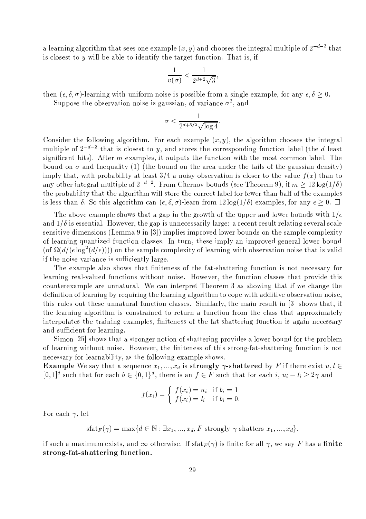a learning algorithm that sees one example  $(x, y)$  and chooses the integral multiple of  $2^{-d-2}$  that is closest to  $y$  will be able to identify the target function. That is, if

$$
\frac{1}{v(\sigma)} < \frac{1}{2^{d+2}\sqrt{3}},
$$

then  $(\epsilon, \delta, \sigma)$ -learning with uniform noise is possible from a single example, for any  $\epsilon, \delta \geq 0$ .

Suppose the observation noise is gaussian, of variance  $\sigma^2$ , and

$$
\sigma < \frac{1}{2^{d+5/2}\sqrt{\log 4}}
$$

Consider the following algorithm. For each example  $(x, y)$ , the algorithm chooses the integral multiple of  $2^{-d-2}$  that is closest to y, and stores the corresponding function label (the d least significant bits). After  $m$  examples, it outputs the function with the most common label. The bound on  $\sigma$  and Inequality (1) (the bound on the area under the tails of the gaussian density) imply that, with probability at least 3/4 a noisy observation is closer to the value  $f(x)$  than to any other integral multiple of  $2^{-d-2}$ . From Chernov bounds (see Theorem 9), if  $m \geq 12 \log(1/\delta)$ the probability that the algorithm will store the correct label for fewer than half of the examples is less than  $\delta$ . So this algorithm can  $(\epsilon, \delta, \sigma)$ -learn from  $12 \log(1/\delta)$  examples, for any  $\epsilon \geq 0$ .

The above example shows that a gap in the growth of the upper and lower bounds with  $1/\epsilon$ and  $1/\delta$  is essential. However, the gap is unnecessarily large: a recent result relating several scale sensitive dimensions (Lemma 9 in [3]) implies improved lower bounds on the sample complexity of learning quantized function classes. In turn, these imply an improved general lower bound (of  $\Omega(d/(\epsilon \log^2(d/\epsilon))))$ ) on the sample complexity of learning with observation noise that is valid if the noise variance is sufficiently large.

The example also shows that finiteness of the fat-shattering function is not necessary for learning real-valued functions without noise. However, the function classes that provide this counterexample are unnatural. We can interpret Theorem 3 as showing that if we change the definition of learning by requiring the learning algorithm to cope with additive observation noise, this rules out these unnatural function classes. Similarly, the main result in [3] shows that, if the learning algorithm is constrained to return a function from the class that approximately interpolates the training examples, finiteness of the fat-shattering function is again necessary and sufficient for learning.

Simon [25] shows that a stronger notion of shattering provides a lower bound for the problem of learning without noise. However, the finiteness of this strong-fat-shattering function is not necessary for learnability, as the following example shows.

**Example** We say that a sequence  $x_1, ..., x_d$  is **strongly**  $\gamma$ -**shattered** by F if there exist  $u, l \in$  $[0,1]^d$  such that for each  $b \in \{0,1\}^d$ , there is an  $f \in F$  such that for each  $i, u_i - l_i \geq 2\gamma$  and

$$
f(x_i) = \begin{cases} f(x_i) = u_i & \text{if } b_i = 1 \\ f(x_i) = l_i & \text{if } b_i = 0. \end{cases}
$$

For each  $\gamma$ , let

 $\text{stat}_F(\gamma) = \max\{d \in \mathbb{N} : \exists x_1, ..., x_d, F \text{ strongly } \gamma\text{-shatters } x_1, ..., x_d\}.$ 

if such a maximum exists, and  $\infty$  otherwise. If sfat $_F(\gamma)$  is finite for all  $\gamma$ , we say F has a finite strong-fat-shattering function.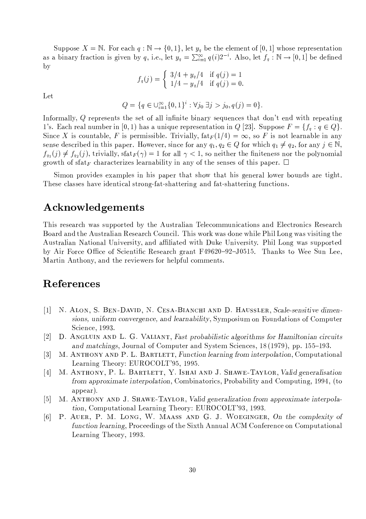Suppose  $X = \mathbb{N}$ . For each  $q : \mathbb{N} \to \{0,1\}$ , let  $y_q$  be the element of  $[0,1]$  whose representation as a binary fraction is given by q, i.e., let  $y_q = \sum_{i=1}^{\infty} q(i)2^{-i}$ . Also, let  $f_q : \mathbb{N} \to [0,1]$  be defined  $\mathbf{b}$ 

$$
f_q(j) = \begin{cases} 3/4 + y_q/4 & \text{if } q(j) = 1 \\ 1/4 - y_q/4 & \text{if } q(j) = 0 \end{cases}
$$

Let

$$
Q = \{q \in \bigcup_{i=1}^{\infty} \{0,1\}^i : \forall j_0 \ \exists j > j_0, q(j) = 0\}.
$$

Informally, Q represents the set of all infinite binary sequences that don't end with repeating 1's. Each real number in [0, 1] has a unique representation in Q [23]. Suppose  $F = \{f_q : q \in Q\}$ . Since X is countable, F is permissible. Trivially,  $\text{fat}_F(1/4) = \infty$ , so F is not learnable in any sense described in this paper. However, since for any  $q_1, q_2 \in Q$  for which  $q_1 \neq q_2$ , for any  $j \in \mathbb{N}$ ,  $f_{q_1}(j) \neq f_{q_2}(j)$ , trivially, sfat $_F(\gamma) = 1$  for all  $\gamma < 1$ , so neither the finiteness nor the polynomial growth of sfat<sub>F</sub> characterizes learnability in any of the senses of this paper.  $\Box$ 

Simon provides examples in his paper that show that his general lower bounds are tight. These classes have identical strong-fat-shattering and fat-shattering functions.

# Acknowledgements

This research was supported by the Australian Telecommunications and Electronics Research Board and the Australian Research Council. This work was done while Phil Long was visiting the Australian National University, and affiliated with Duke University. Phil Long was supported by Air Force Office of Scientific Research grant F49620-92-J0515. Thanks to Wee Sun Lee, Martin Anthony, and the reviewers for helpful comments.

# References

- N. ALON, S. BEN-DAVID, N. CESA-BIANCHI AND D. HAUSSLER, Scale-sensitive dimen- $\left\lceil 1 \right\rceil$ sions, uniform convergence, and learnability, Symposium on Foundations of Computer Science, 1993.
- $\lceil 2 \rceil$ D. ANGLUIN AND L. G. VALIANT, Fast probabilistic algorithms for Hamiltonian circuits and matchings, Journal of Computer and System Sciences, 18 (1979), pp. 155–193.
- M. ANTHONY AND P. L. BARTLETT, Function learning from interpolation, Computational  $\lceil 3 \rceil$ Learning Theory: EUROCOLT'95, 1995.
- M. ANTHONY, P. L. BARTLETT, Y. ISHAI AND J. SHAWE-TAYLOR, Valid generalisation  $\lceil 4 \rceil$ from approximate interpolation, Combinatorics, Probability and Computing, 1994, (to appear).
- M. ANTHONY AND J. SHAWE-TAYLOR, Valid generalization from approximate interpola- $|5|$ tion, Computational Learning Theory: EUROCOLT'93, 1993.
- P. AUER, P. M. LONG, W. MAASS AND G. J. WOEGINGER, On the complexity of  $\lceil 6 \rceil$ function learning, Proceedings of the Sixth Annual ACM Conference on Computational Learning Theory, 1993.